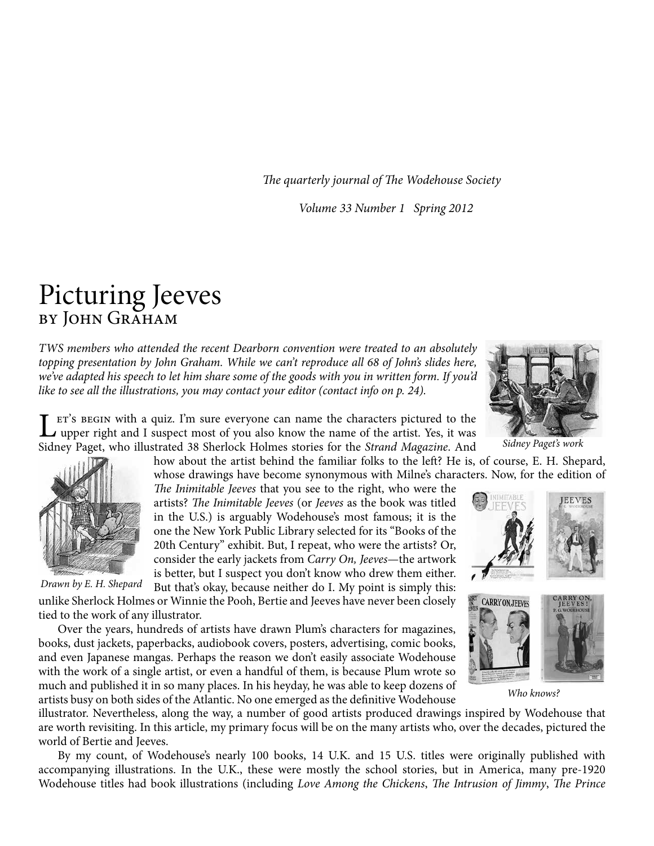*The quarterly journal of The Wodehouse Society*

*Volume 33 Number 1 Spring 2012*

## Picturing Jeeves by John Graham

*TWS members who attended the recent Dearborn convention were treated to an absolutely*  topping presentation by John Graham. While we can't reproduce all 68 of John's slides here, *we've adapted his speech to let him share some of the goods with you in written form. If you'd like to see all the illustrations, you may contact your editor (contact info on p. 24).*

 $\sum$  ET's BEGIN with a quiz. I'm sure everyone can name the characters pictured to the upper right and I suspect most of you also know the name of the artist. Yes, it was Sidney Paget, who illustrated 38 Sherlock Holmes stories for the *Strand Magazine*. And

> how about the artist behind the familiar folks to the left? He is, of course, E. H. Shepard, whose drawings have become synonymous with Milne's characters. Now, for the edition of

*The Inimitable Jeeves* that you see to the right, who were the artists? *The Inimitable Jeeves* (or *Jeeves* as the book was titled in the U.S.) is arguably Wodehouse's most famous; it is the one the New York Public Library selected for its "Books of the 20th Century" exhibit. But, I repeat, who were the artists? Or, consider the early jackets from *Carry On, Jeeves*—the artwork is better, but I suspect you don't know who drew them either.

But that's okay, because neither do I. My point is simply this: unlike Sherlock Holmes or Winnie the Pooh, Bertie and Jeeves have never been closely tied to the work of any illustrator. *Drawn by E. H. Shepard*

Over the years, hundreds of artists have drawn Plum's characters for magazines, books, dust jackets, paperbacks, audiobook covers, posters, advertising, comic books, and even Japanese mangas. Perhaps the reason we don't easily associate Wodehouse with the work of a single artist, or even a handful of them, is because Plum wrote so much and published it in so many places. In his heyday, he was able to keep dozens of artists busy on both sides of the Atlantic. No one emerged as the definitive Wodehouse

illustrator. Nevertheless, along the way, a number of good artists produced drawings inspired by Wodehouse that are worth revisiting. In this article, my primary focus will be on the many artists who, over the decades, pictured the world of Bertie and Jeeves.

By my count, of Wodehouse's nearly 100 books, 14 U.K. and 15 U.S. titles were originally published with accompanying illustrations. In the U.K., these were mostly the school stories, but in America, many pre-1920 Wodehouse titles had book illustrations (including *Love Among the Chickens*, *The Intrusion of Jimmy*, *The Prince* 

*Sidney Paget's work*

**JEEVES** 



*Who knows?*





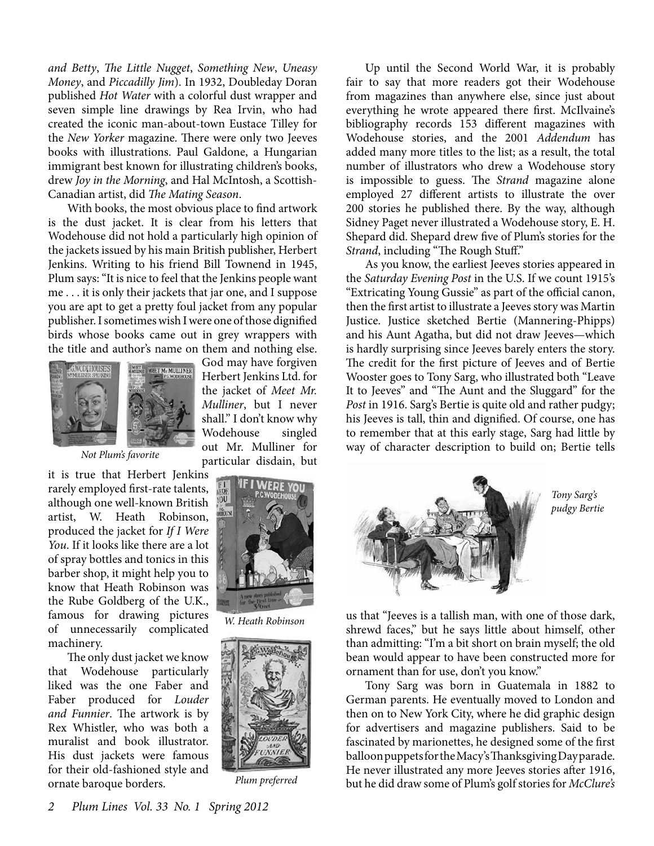*and Betty*, *The Little Nugget*, *Something New*, *Uneasy Money*, and *Piccadilly Jim*). In 1932, Doubleday Doran published *Hot Water* with a colorful dust wrapper and seven simple line drawings by Rea Irvin, who had created the iconic man-about-town Eustace Tilley for the *New Yorker* magazine. There were only two Jeeves books with illustrations. Paul Galdone, a Hungarian immigrant best known for illustrating children's books, drew *Joy in the Morning*, and Hal McIntosh, a Scottish-Canadian artist, did *The Mating Season*.

With books, the most obvious place to find artwork is the dust jacket. It is clear from his letters that Wodehouse did not hold a particularly high opinion of the jackets issued by his main British publisher, Herbert Jenkins. Writing to his friend Bill Townend in 1945, Plum says: "It is nice to feel that the Jenkins people want me . . . it is only their jackets that jar one, and I suppose you are apt to get a pretty foul jacket from any popular publisher. I sometimes wish I were one of those dignified birds whose books came out in grey wrappers with the title and author's name on them and nothing else.



*Not Plum's favorite*

it is true that Herbert Jenkins rarely employed first-rate talents, although one well-known British artist, W. Heath Robinson, produced the jacket for *If I Were You*. If it looks like there are a lot of spray bottles and tonics in this barber shop, it might help you to know that Heath Robinson was the Rube Goldberg of the U.K., famous for drawing pictures of unnecessarily complicated machinery.

The only dust jacket we know that Wodehouse particularly liked was the one Faber and Faber produced for *Louder and Funnier*. The artwork is by Rex Whistler, who was both a muralist and book illustrator. His dust jackets were famous for their old-fashioned style and ornate baroque borders.

God may have forgiven Herbert Jenkins Ltd. for the jacket of *Meet Mr. Mulliner*, but I never shall." I don't know why Wodehouse singled out Mr. Mulliner for particular disdain, but



*W. Heath Robinson*



*Plum preferred*

Up until the Second World War, it is probably fair to say that more readers got their Wodehouse from magazines than anywhere else, since just about everything he wrote appeared there first. McIlvaine's bibliography records 153 different magazines with Wodehouse stories, and the 2001 *Addendum* has added many more titles to the list; as a result, the total number of illustrators who drew a Wodehouse story is impossible to guess. The *Strand* magazine alone employed 27 different artists to illustrate the over 200 stories he published there. By the way, although Sidney Paget never illustrated a Wodehouse story, E. H. Shepard did. Shepard drew five of Plum's stories for the *Strand*, including "The Rough Stuff."

As you know, the earliest Jeeves stories appeared in the *Saturday Evening Post* in the U.S. If we count 1915's "Extricating Young Gussie" as part of the official canon, then the first artist to illustrate a Jeeves story was Martin Justice. Justice sketched Bertie (Mannering-Phipps) and his Aunt Agatha, but did not draw Jeeves—which is hardly surprising since Jeeves barely enters the story. The credit for the first picture of Jeeves and of Bertie Wooster goes to Tony Sarg, who illustrated both "Leave It to Jeeves" and "The Aunt and the Sluggard" for the *Post* in 1916. Sarg's Bertie is quite old and rather pudgy; his Jeeves is tall, thin and dignified. Of course, one has to remember that at this early stage, Sarg had little by way of character description to build on; Bertie tells



*Tony Sarg's pudgy Bertie*

us that "Jeeves is a tallish man, with one of those dark, shrewd faces," but he says little about himself, other than admitting: "I'm a bit short on brain myself; the old bean would appear to have been constructed more for ornament than for use, don't you know."

Tony Sarg was born in Guatemala in 1882 to German parents. He eventually moved to London and then on to New York City, where he did graphic design for advertisers and magazine publishers. Said to be fascinated by marionettes, he designed some of the first balloon puppets for the Macy's Thanksgiving Day parade. He never illustrated any more Jeeves stories after 1916, but he did draw some of Plum's golf stories for *McClure's*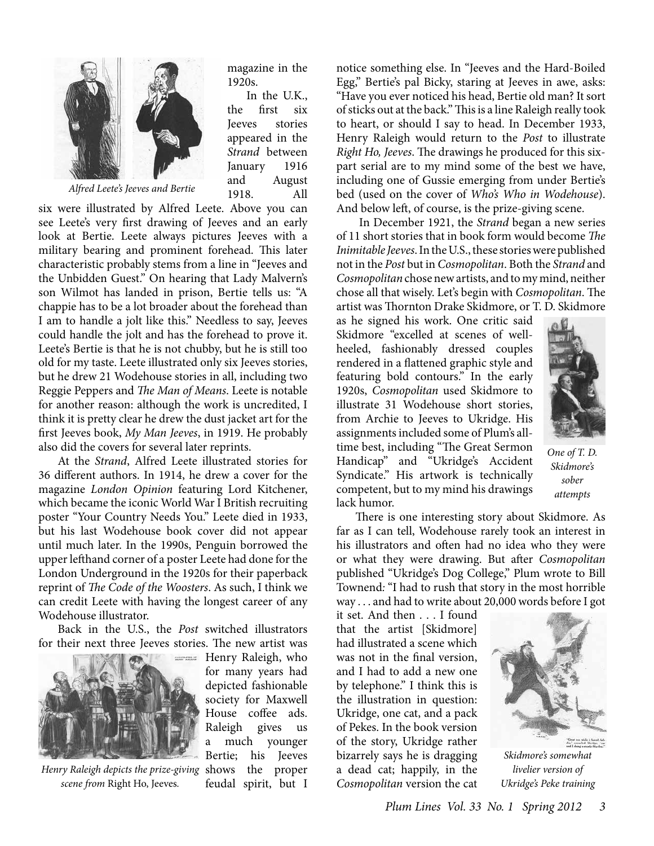

*Alfred Leete's Jeeves and Bertie*

magazine in the 1920s.

In the U.K., the first six Jeeves stories appeared in the *Strand* between January 1916 and August 1918. All

six were illustrated by Alfred Leete. Above you can see Leete's very first drawing of Jeeves and an early look at Bertie. Leete always pictures Jeeves with a military bearing and prominent forehead. This later characteristic probably stems from a line in "Jeeves and the Unbidden Guest." On hearing that Lady Malvern's son Wilmot has landed in prison, Bertie tells us: "A chappie has to be a lot broader about the forehead than I am to handle a jolt like this." Needless to say, Jeeves could handle the jolt and has the forehead to prove it. Leete's Bertie is that he is not chubby, but he is still too old for my taste. Leete illustrated only six Jeeves stories, but he drew 21 Wodehouse stories in all, including two Reggie Peppers and *The Man of Means*. Leete is notable for another reason: although the work is uncredited, I think it is pretty clear he drew the dust jacket art for the first Jeeves book, *My Man Jeeves*, in 1919. He probably also did the covers for several later reprints.

At the *Strand*, Alfred Leete illustrated stories for 36 different authors. In 1914, he drew a cover for the magazine *London Opinion* featuring Lord Kitchener, which became the iconic World War I British recruiting poster "Your Country Needs You." Leete died in 1933, but his last Wodehouse book cover did not appear until much later. In the 1990s, Penguin borrowed the upper lefthand corner of a poster Leete had done for the London Underground in the 1920s for their paperback reprint of *The Code of the Woosters*. As such, I think we can credit Leete with having the longest career of any Wodehouse illustrator.

Back in the U.S., the *Post* switched illustrators for their next three Jeeves stories. The new artist was



*Henry Raleigh depicts the prize-giving scene from* Right Ho, Jeeves*.*

Henry Raleigh, who for many years had depicted fashionable society for Maxwell House coffee ads. Raleigh gives us a much younger Bertie; his Jeeves shows the proper feudal spirit, but I notice something else. In "Jeeves and the Hard-Boiled Egg," Bertie's pal Bicky, staring at Jeeves in awe, asks: "Have you ever noticed his head, Bertie old man? It sort of sticks out at the back." This is a line Raleigh really took to heart, or should I say to head. In December 1933, Henry Raleigh would return to the *Post* to illustrate *Right Ho, Jeeves*. The drawings he produced for this sixpart serial are to my mind some of the best we have, including one of Gussie emerging from under Bertie's bed (used on the cover of *Who's Who in Wodehouse*). And below left, of course, is the prize-giving scene.

 In December 1921, the *Strand* began a new series of 11 short stories that in book form would become *The Inimitable Jeeves*. In the U.S., these stories were published not in the *Post* but in *Cosmopolitan*. Both the *Strand* and *Cosmopolitan* chose new artists, and to my mind, neither chose all that wisely. Let's begin with *Cosmopolitan*. The artist was Thornton Drake Skidmore, or T. D. Skidmore

as he signed his work. One critic said Skidmore "excelled at scenes of wellheeled, fashionably dressed couples rendered in a flattened graphic style and featuring bold contours." In the early 1920s, *Cosmopolitan* used Skidmore to illustrate 31 Wodehouse short stories, from Archie to Jeeves to Ukridge. His assignments included some of Plum's alltime best, including "The Great Sermon Handicap" and "Ukridge's Accident Syndicate." His artwork is technically competent, but to my mind his drawings lack humor.



*One of T. D. Skidmore's sober attempts*

There is one interesting story about Skidmore. As far as I can tell, Wodehouse rarely took an interest in his illustrators and often had no idea who they were or what they were drawing. But after *Cosmopolitan* published "Ukridge's Dog College," Plum wrote to Bill Townend*:* "I had to rush that story in the most horrible way . . . and had to write about 20,000 words before I got

it set. And then . . . I found that the artist [Skidmore] had illustrated a scene which was not in the final version, and I had to add a new one by telephone." I think this is the illustration in question: Ukridge, one cat, and a pack of Pekes. In the book version of the story, Ukridge rather bizarrely says he is dragging a dead cat; happily, in the *Cosmopolitan* version the cat



*Skidmore's somewhat livelier version of Ukridge's Peke training*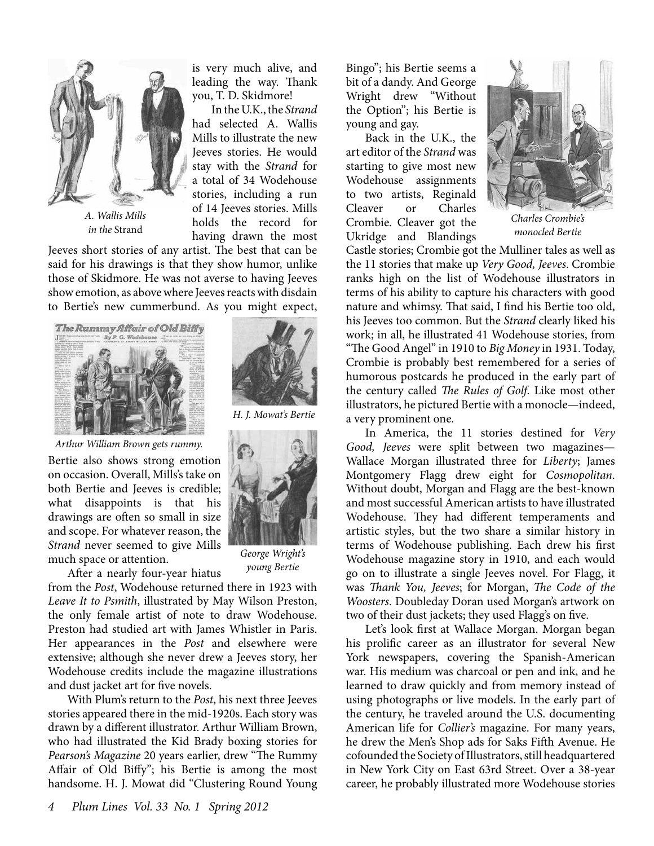

*A. Wallis Mills in the* Strand

is very much alive, and leading the way. Thank you, T. D. Skidmore!

In the U.K., the *Strand* had selected A. Wallis Mills to illustrate the new Jeeves stories. He would stay with the *Strand* for a total of 34 Wodehouse stories, including a run of 14 Jeeves stories. Mills holds the record for having drawn the most

Jeeves short stories of any artist. The best that can be said for his drawings is that they show humor, unlike those of Skidmore. He was not averse to having Jeeves show emotion, as above where Jeeves reacts with disdain to Bertie's new cummerbund. As you might expect,





*Arthur William Brown gets rummy.*

Bertie also shows strong emotion on occasion. Overall, Mills's take on both Bertie and Jeeves is credible; what disappoints is that his drawings are often so small in size and scope. For whatever reason, the *Strand* never seemed to give Mills much space or attention.



*young Bertie*

After a nearly four-year hiatus

from the *Post*, Wodehouse returned there in 1923 with *Leave It to Psmith*, illustrated by May Wilson Preston, the only female artist of note to draw Wodehouse. Preston had studied art with James Whistler in Paris. Her appearances in the *Post* and elsewhere were extensive; although she never drew a Jeeves story, her Wodehouse credits include the magazine illustrations and dust jacket art for five novels.

With Plum's return to the *Post*, his next three Jeeves stories appeared there in the mid-1920s. Each story was drawn by a different illustrator. Arthur William Brown, who had illustrated the Kid Brady boxing stories for *Pearson's Magazine* 20 years earlier, drew "The Rummy Affair of Old Biffy"; his Bertie is among the most handsome. H. J. Mowat did "Clustering Round Young

Bingo"; his Bertie seems a bit of a dandy. And George Wright drew "Without the Option"; his Bertie is young and gay.

Back in the U.K., the art editor of the *Strand* was starting to give most new Wodehouse assignments to two artists, Reginald Cleaver or Charles Crombie. Cleaver got the Ukridge and Blandings



*Charles Crombie's monocled Bertie*

Castle stories; Crombie got the Mulliner tales as well as the 11 stories that make up *Very Good, Jeeves*. Crombie ranks high on the list of Wodehouse illustrators in terms of his ability to capture his characters with good nature and whimsy. That said, I find his Bertie too old, his Jeeves too common. But the *Strand* clearly liked his work; in all, he illustrated 41 Wodehouse stories, from "The Good Angel" in 1910 to *Big Money* in 1931. Today, Crombie is probably best remembered for a series of humorous postcards he produced in the early part of the century called *The Rules of Golf*. Like most other illustrators, he pictured Bertie with a monocle—indeed, a very prominent one.

In America, the 11 stories destined for *Very Good, Jeeves* were split between two magazines— Wallace Morgan illustrated three for *Liberty*; James Montgomery Flagg drew eight for *Cosmopolitan*. Without doubt, Morgan and Flagg are the best-known and most successful American artists to have illustrated Wodehouse. They had different temperaments and artistic styles, but the two share a similar history in terms of Wodehouse publishing. Each drew his first Wodehouse magazine story in 1910, and each would go on to illustrate a single Jeeves novel. For Flagg, it was *Thank You, Jeeves*; for Morgan, *The Code of the Woosters*. Doubleday Doran used Morgan's artwork on two of their dust jackets; they used Flagg's on five.

Let's look first at Wallace Morgan. Morgan began his prolific career as an illustrator for several New York newspapers, covering the Spanish-American war. His medium was charcoal or pen and ink, and he learned to draw quickly and from memory instead of using photographs or live models. In the early part of the century, he traveled around the U.S. documenting American life for *Collier's* magazine. For many years, he drew the Men's Shop ads for Saks Fifth Avenue. He cofounded the Society of Illustrators, still headquartered in New York City on East 63rd Street. Over a 38-year career, he probably illustrated more Wodehouse stories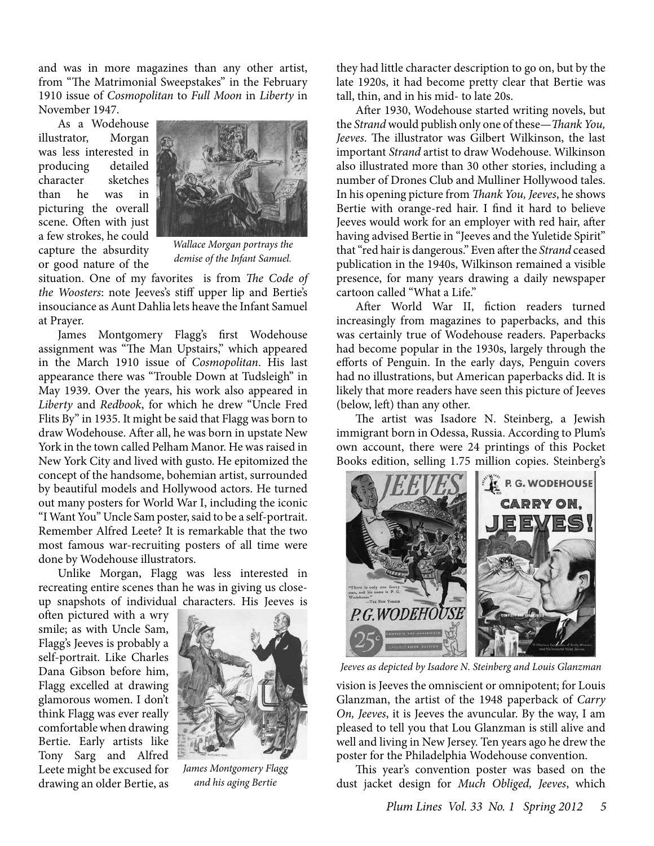and was in more magazines than any other artist, from "The Matrimonial Sweepstakes" in the February 1910 issue of *Cosmopolitan* to *Full Moon* in *Liberty* in November 1947.

As a Wodehouse illustrator, Morgan was less interested in producing detailed character sketches than he was in picturing the overall scene. Often with just a few strokes, he could capture the absurdity or good nature of the



*Wallace Morgan portrays the demise of the Infant Samuel.*

situation. One of my favorites is from *The Code of the Woosters*: note Jeeves's stiff upper lip and Bertie's insouciance as Aunt Dahlia lets heave the Infant Samuel at Prayer.

James Montgomery Flagg's first Wodehouse assignment was "The Man Upstairs," which appeared in the March 1910 issue of *Cosmopolitan*. His last appearance there was "Trouble Down at Tudsleigh" in May 1939. Over the years, his work also appeared in *Liberty* and *Redbook*, for which he drew "Uncle Fred Flits By" in 1935. It might be said that Flagg was born to draw Wodehouse. After all, he was born in upstate New York in the town called Pelham Manor. He was raised in New York City and lived with gusto. He epitomized the concept of the handsome, bohemian artist, surrounded by beautiful models and Hollywood actors. He turned out many posters for World War I, including the iconic "I Want You" Uncle Sam poster, said to be a self-portrait. Remember Alfred Leete? It is remarkable that the two most famous war-recruiting posters of all time were done by Wodehouse illustrators.

Unlike Morgan, Flagg was less interested in recreating entire scenes than he was in giving us closeup snapshots of individual characters. His Jeeves is

often pictured with a wry smile; as with Uncle Sam, Flagg's Jeeves is probably a self-portrait. Like Charles Dana Gibson before him, Flagg excelled at drawing glamorous women. I don't think Flagg was ever really comfortable when drawing Bertie. Early artists like Tony Sarg and Alfred Leete might be excused for drawing an older Bertie, as



*James Montgomery Flagg and his aging Bertie*

they had little character description to go on, but by the late 1920s, it had become pretty clear that Bertie was tall, thin, and in his mid- to late 20s.

After 1930, Wodehouse started writing novels, but the *Strand* would publish only one of these—*Thank You, Jeeves*. The illustrator was Gilbert Wilkinson, the last important *Strand* artist to draw Wodehouse. Wilkinson also illustrated more than 30 other stories, including a number of Drones Club and Mulliner Hollywood tales. In his opening picture from *Thank You, Jeeves*, he shows Bertie with orange-red hair. I find it hard to believe Jeeves would work for an employer with red hair, after having advised Bertie in "Jeeves and the Yuletide Spirit" that "red hair is dangerous." Even after the *Strand* ceased publication in the 1940s, Wilkinson remained a visible presence, for many years drawing a daily newspaper cartoon called "What a Life."

After World War II, fiction readers turned increasingly from magazines to paperbacks, and this was certainly true of Wodehouse readers. Paperbacks had become popular in the 1930s, largely through the efforts of Penguin. In the early days, Penguin covers had no illustrations, but American paperbacks did. It is likely that more readers have seen this picture of Jeeves (below, left) than any other.

The artist was Isadore N. Steinberg, a Jewish immigrant born in Odessa, Russia. According to Plum's own account, there were 24 printings of this Pocket Books edition, selling 1.75 million copies. Steinberg's



*Jeeves as depicted by Isadore N. Steinberg and Louis Glanzman*

vision is Jeeves the omniscient or omnipotent; for Louis Glanzman, the artist of the 1948 paperback of *Carry On, Jeeves*, it is Jeeves the avuncular. By the way, I am pleased to tell you that Lou Glanzman is still alive and well and living in New Jersey. Ten years ago he drew the poster for the Philadelphia Wodehouse convention.

This year's convention poster was based on the dust jacket design for *Much Obliged, Jeeves*, which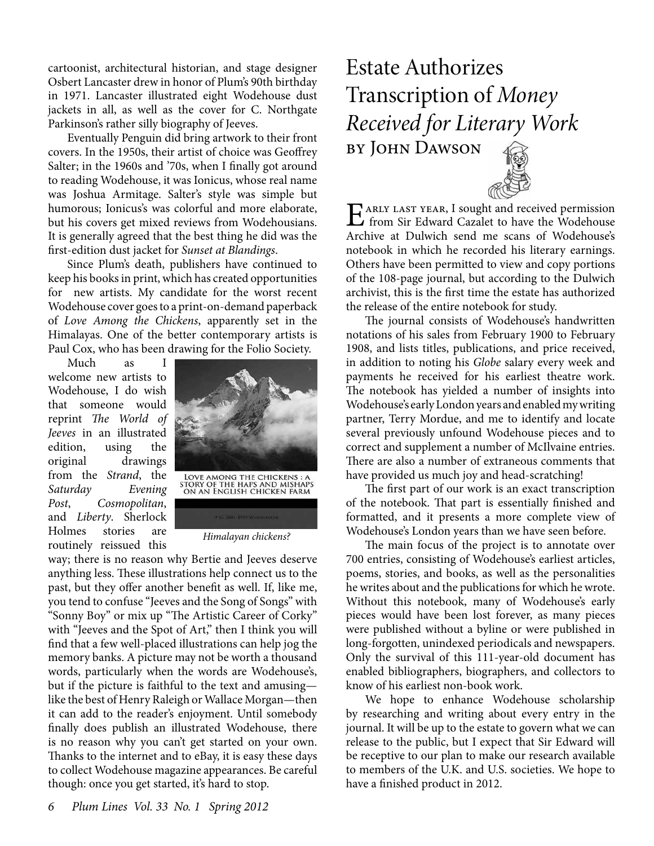cartoonist, architectural historian, and stage designer Osbert Lancaster drew in honor of Plum's 90th birthday in 1971. Lancaster illustrated eight Wodehouse dust jackets in all, as well as the cover for C. Northgate Parkinson's rather silly biography of Jeeves.

Eventually Penguin did bring artwork to their front covers. In the 1950s, their artist of choice was Geoffrey Salter; in the 1960s and '70s, when I finally got around to reading Wodehouse, it was Ionicus, whose real name was Joshua Armitage. Salter's style was simple but humorous; Ionicus's was colorful and more elaborate, but his covers get mixed reviews from Wodehousians. It is generally agreed that the best thing he did was the first-edition dust jacket for *Sunset at Blandings*.

Since Plum's death, publishers have continued to keep his books in print, which has created opportunities for new artists. My candidate for the worst recent Wodehouse cover goes to a print-on-demand paperback of *Love Among the Chickens*, apparently set in the Himalayas. One of the better contemporary artists is Paul Cox, who has been drawing for the Folio Society.

Much as I welcome new artists to Wodehouse, I do wish that someone would reprint *The World of Jeeves* in an illustrated edition, using the original drawings from the *Strand*, the *Saturday Evening Post*, *Cosmopolitan*, and *Liberty*. Sherlock Holmes stories are routinely reissued this



*Himalayan chickens?*

way; there is no reason why Bertie and Jeeves deserve anything less. These illustrations help connect us to the past, but they offer another benefit as well. If, like me, you tend to confuse "Jeeves and the Song of Songs" with "Sonny Boy" or mix up "The Artistic Career of Corky" with "Jeeves and the Spot of Art," then I think you will find that a few well-placed illustrations can help jog the memory banks. A picture may not be worth a thousand words, particularly when the words are Wodehouse's, but if the picture is faithful to the text and amusing like the best of Henry Raleigh or Wallace Morgan—then it can add to the reader's enjoyment. Until somebody finally does publish an illustrated Wodehouse, there is no reason why you can't get started on your own. Thanks to the internet and to eBay, it is easy these days to collect Wodehouse magazine appearances. Be careful though: once you get started, it's hard to stop.

# Estate Authorizes Transcription of *Money Received for Literary Work* by John Dawson

EX ARLY LAST YEAR, I sought and received permission<br>
from Sir Edward Cazalet to have the Wodehouse Archive at Dulwich send me scans of Wodehouse's notebook in which he recorded his literary earnings. Others have been permitted to view and copy portions of the 108-page journal, but according to the Dulwich archivist, this is the first time the estate has authorized the release of the entire notebook for study.

The journal consists of Wodehouse's handwritten notations of his sales from February 1900 to February 1908, and lists titles, publications, and price received, in addition to noting his *Globe* salary every week and payments he received for his earliest theatre work. The notebook has yielded a number of insights into Wodehouse's early London years and enabled my writing partner, Terry Mordue, and me to identify and locate several previously unfound Wodehouse pieces and to correct and supplement a number of McIlvaine entries. There are also a number of extraneous comments that have provided us much joy and head-scratching!

The first part of our work is an exact transcription of the notebook. That part is essentially finished and formatted, and it presents a more complete view of Wodehouse's London years than we have seen before.

The main focus of the project is to annotate over 700 entries, consisting of Wodehouse's earliest articles, poems, stories, and books, as well as the personalities he writes about and the publications for which he wrote. Without this notebook, many of Wodehouse's early pieces would have been lost forever, as many pieces were published without a byline or were published in long-forgotten, unindexed periodicals and newspapers. Only the survival of this 111-year-old document has enabled bibliographers, biographers, and collectors to know of his earliest non-book work.

We hope to enhance Wodehouse scholarship by researching and writing about every entry in the journal. It will be up to the estate to govern what we can release to the public, but I expect that Sir Edward will be receptive to our plan to make our research available to members of the U.K. and U.S. societies. We hope to have a finished product in 2012.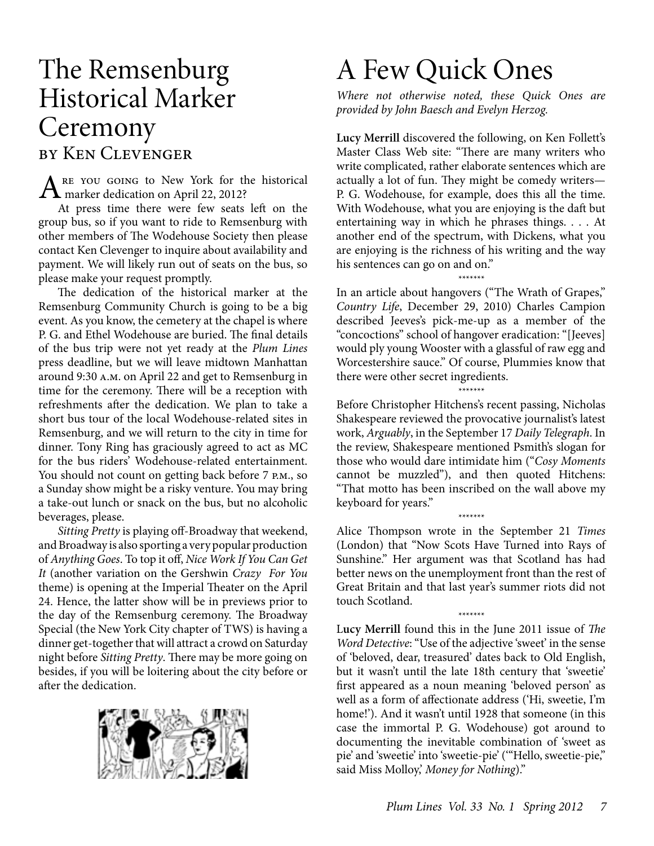# The Remsenburg Historical Marker **Ceremony** by Ken Clevenger

ARE YOU GOING to New York for the historical<br>
marker dedication on April 22, 2012?

At press time there were few seats left on the group bus, so if you want to ride to Remsenburg with other members of The Wodehouse Society then please contact Ken Clevenger to inquire about availability and payment. We will likely run out of seats on the bus, so please make your request promptly.

The dedication of the historical marker at the Remsenburg Community Church is going to be a big event. As you know, the cemetery at the chapel is where P. G. and Ethel Wodehouse are buried. The final details of the bus trip were not yet ready at the *Plum Lines*  press deadline, but we will leave midtown Manhattan around 9:30 a.m. on April 22 and get to Remsenburg in time for the ceremony. There will be a reception with refreshments after the dedication. We plan to take a short bus tour of the local Wodehouse-related sites in Remsenburg, and we will return to the city in time for dinner. Tony Ring has graciously agreed to act as MC for the bus riders' Wodehouse-related entertainment. You should not count on getting back before 7 P.M., so a Sunday show might be a risky venture. You may bring a take-out lunch or snack on the bus, but no alcoholic beverages, please.

*Sitting Pretty* is playing off-Broadway that weekend, and Broadway is also sporting a very popular production of *Anything Goes*. To top it off, *Nice Work If You Can Get It* (another variation on the Gershwin *Crazy For You* theme) is opening at the Imperial Theater on the April 24. Hence, the latter show will be in previews prior to the day of the Remsenburg ceremony. The Broadway Special (the New York City chapter of TWS) is having a dinner get-together that will attract a crowd on Saturday night before *Sitting Pretty*. There may be more going on besides, if you will be loitering about the city before or after the dedication.



# A Few Quick Ones

*Where not otherwise noted, these Quick Ones are provided by John Baesch and Evelyn Herzog.*

**Lucy Merrill** discovered the following, on Ken Follett's Master Class Web site: "There are many writers who write complicated, rather elaborate sentences which are actually a lot of fun. They might be comedy writers— P. G. Wodehouse, for example, does this all the time. With Wodehouse, what you are enjoying is the daft but entertaining way in which he phrases things. . . . At another end of the spectrum, with Dickens, what you are enjoying is the richness of his writing and the way his sentences can go on and on."

*\*\*\*\*\*\*\** In an article about hangovers ("The Wrath of Grapes," *Country Life*, December 29, 2010) Charles Campion described Jeeves's pick-me-up as a member of the "concoctions" school of hangover eradication: "[Jeeves] would ply young Wooster with a glassful of raw egg and Worcestershire sauce." Of course, Plummies know that there were other secret ingredients.

*\*\*\*\*\*\*\** Before Christopher Hitchens's recent passing, Nicholas Shakespeare reviewed the provocative journalist's latest work, *Arguably*, in the September 17 *Daily Telegraph*. In the review, Shakespeare mentioned Psmith's slogan for those who would dare intimidate him ("*Cosy Moments* cannot be muzzled"), and then quoted Hitchens: "That motto has been inscribed on the wall above my keyboard for years."

*\*\*\*\*\*\*\** Alice Thompson wrote in the September 21 *Times* (London) that "Now Scots Have Turned into Rays of Sunshine." Her argument was that Scotland has had better news on the unemployment front than the rest of Great Britain and that last year's summer riots did not touch Scotland.

*\*\*\*\*\*\*\**

L**ucy Merrill** found this in the June 2011 issue of *The Word Detective*: "Use of the adjective 'sweet' in the sense of 'beloved, dear, treasured' dates back to Old English, but it wasn't until the late 18th century that 'sweetie' first appeared as a noun meaning 'beloved person' as well as a form of affectionate address ('Hi, sweetie, I'm home!'). And it wasn't until 1928 that someone (in this case the immortal P. G. Wodehouse) got around to documenting the inevitable combination of 'sweet as pie' and 'sweetie' into 'sweetie-pie' ('"Hello, sweetie-pie," said Miss Molloy,' *Money for Nothing*)."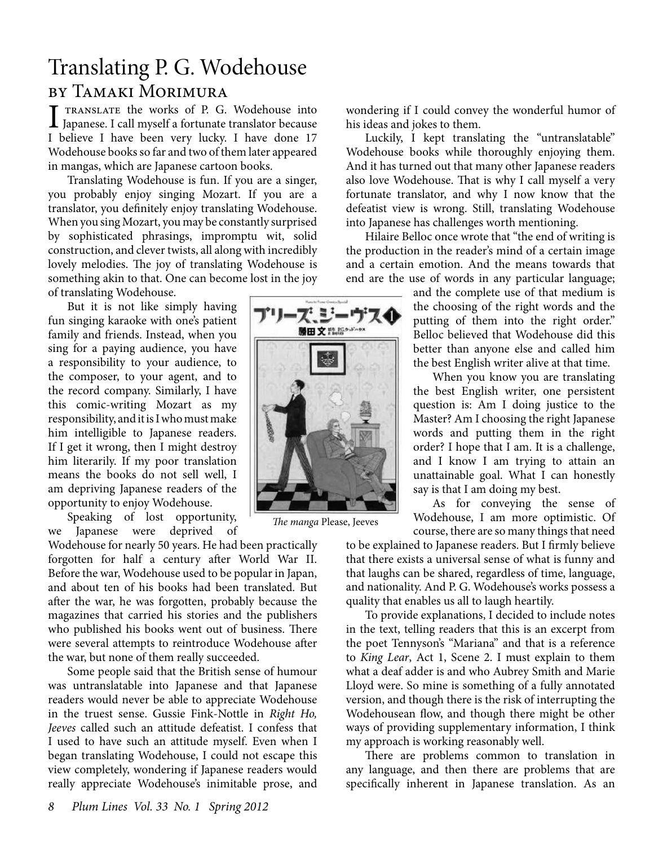### Translating P. G. Wodehouse by Tamaki Morimura

I translate the works of P. G. Wodehouse into Japanese. I call myself a fortunate translator because I believe I have been very lucky. I have done 17 Wodehouse books so far and two of them later appeared in mangas, which are Japanese cartoon books.

Translating Wodehouse is fun. If you are a singer, you probably enjoy singing Mozart. If you are a translator, you definitely enjoy translating Wodehouse. When you sing Mozart, you may be constantly surprised by sophisticated phrasings, impromptu wit, solid construction, and clever twists, all along with incredibly lovely melodies. The joy of translating Wodehouse is something akin to that. One can become lost in the joy of translating Wodehouse.

But it is not like simply having fun singing karaoke with one's patient family and friends. Instead, when you sing for a paying audience, you have a responsibility to your audience, to the composer, to your agent, and to the record company. Similarly, I have this comic-writing Mozart as my responsibility, and it is I who must make him intelligible to Japanese readers. If I get it wrong, then I might destroy him literarily. If my poor translation means the books do not sell well, I am depriving Japanese readers of the opportunity to enjoy Wodehouse.

Speaking of lost opportunity, we Japanese were deprived of

Wodehouse for nearly 50 years. He had been practically forgotten for half a century after World War II. Before the war, Wodehouse used to be popular in Japan, and about ten of his books had been translated. But after the war, he was forgotten, probably because the magazines that carried his stories and the publishers who published his books went out of business. There were several attempts to reintroduce Wodehouse after the war, but none of them really succeeded.

Some people said that the British sense of humour was untranslatable into Japanese and that Japanese readers would never be able to appreciate Wodehouse in the truest sense. Gussie Fink-Nottle in *Right Ho, Jeeves* called such an attitude defeatist. I confess that I used to have such an attitude myself. Even when I began translating Wodehouse, I could not escape this view completely, wondering if Japanese readers would really appreciate Wodehouse's inimitable prose, and wondering if I could convey the wonderful humor of his ideas and jokes to them.

Luckily, I kept translating the "untranslatable" Wodehouse books while thoroughly enjoying them. And it has turned out that many other Japanese readers also love Wodehouse. That is why I call myself a very fortunate translator, and why I now know that the defeatist view is wrong. Still, translating Wodehouse into Japanese has challenges worth mentioning.

Hilaire Belloc once wrote that "the end of writing is the production in the reader's mind of a certain image and a certain emotion. And the means towards that end are the use of words in any particular language;

> and the complete use of that medium is the choosing of the right words and the putting of them into the right order." Belloc believed that Wodehouse did this better than anyone else and called him the best English writer alive at that time.

> When you know you are translating the best English writer, one persistent question is: Am I doing justice to the Master? Am I choosing the right Japanese words and putting them in the right order? I hope that I am. It is a challenge, and I know I am trying to attain an unattainable goal. What I can honestly say is that I am doing my best.

> As for conveying the sense of Wodehouse, I am more optimistic. Of course, there are so many things that need

to be explained to Japanese readers. But I firmly believe that there exists a universal sense of what is funny and that laughs can be shared, regardless of time, language, and nationality. And P. G. Wodehouse's works possess a quality that enables us all to laugh heartily.

To provide explanations, I decided to include notes in the text, telling readers that this is an excerpt from the poet Tennyson's "Mariana" and that is a reference to *King Lear*, Act 1, Scene 2. I must explain to them what a deaf adder is and who Aubrey Smith and Marie Lloyd were. So mine is something of a fully annotated version, and though there is the risk of interrupting the Wodehousean flow, and though there might be other ways of providing supplementary information, I think my approach is working reasonably well.

There are problems common to translation in any language, and then there are problems that are specifically inherent in Japanese translation. As an



*The manga* Please, Jeeves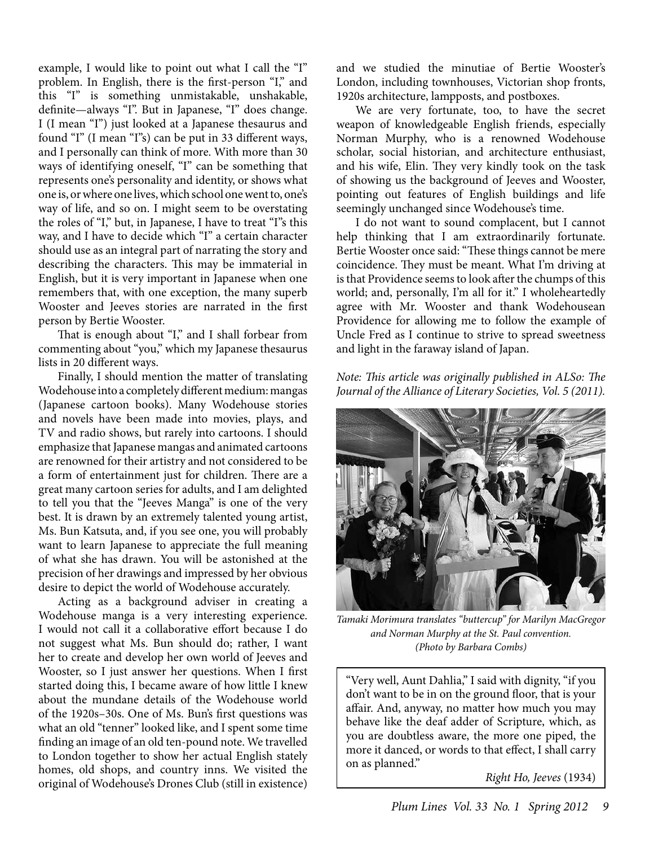example, I would like to point out what I call the "I" problem. In English, there is the first-person "I," and this "I" is something unmistakable, unshakable, definite—always "I". But in Japanese, "I" does change. I (I mean "I") just looked at a Japanese thesaurus and found "I" (I mean "I"s) can be put in 33 different ways, and I personally can think of more. With more than 30 ways of identifying oneself, "I" can be something that represents one's personality and identity, or shows what one is, or where one lives, which school one went to, one's way of life, and so on. I might seem to be overstating the roles of "I," but, in Japanese, I have to treat "I"s this way, and I have to decide which "I" a certain character should use as an integral part of narrating the story and describing the characters. This may be immaterial in English, but it is very important in Japanese when one remembers that, with one exception, the many superb Wooster and Jeeves stories are narrated in the first person by Bertie Wooster.

That is enough about "I," and I shall forbear from commenting about "you," which my Japanese thesaurus lists in 20 different ways.

Finally, I should mention the matter of translating Wodehouse into a completely different medium: mangas (Japanese cartoon books). Many Wodehouse stories and novels have been made into movies, plays, and TV and radio shows, but rarely into cartoons. I should emphasize that Japanese mangas and animated cartoons are renowned for their artistry and not considered to be a form of entertainment just for children. There are a great many cartoon series for adults, and I am delighted to tell you that the "Jeeves Manga" is one of the very best. It is drawn by an extremely talented young artist, Ms. Bun Katsuta, and, if you see one, you will probably want to learn Japanese to appreciate the full meaning of what she has drawn. You will be astonished at the precision of her drawings and impressed by her obvious desire to depict the world of Wodehouse accurately.

Acting as a background adviser in creating a Wodehouse manga is a very interesting experience. I would not call it a collaborative effort because I do not suggest what Ms. Bun should do; rather, I want her to create and develop her own world of Jeeves and Wooster, so I just answer her questions. When I first started doing this, I became aware of how little I knew about the mundane details of the Wodehouse world of the 1920s–30s. One of Ms. Bun's first questions was what an old "tenner" looked like, and I spent some time finding an image of an old ten-pound note. We travelled to London together to show her actual English stately homes, old shops, and country inns. We visited the original of Wodehouse's Drones Club (still in existence) and we studied the minutiae of Bertie Wooster's London, including townhouses, Victorian shop fronts, 1920s architecture, lampposts, and postboxes.

We are very fortunate, too, to have the secret weapon of knowledgeable English friends, especially Norman Murphy, who is a renowned Wodehouse scholar, social historian, and architecture enthusiast, and his wife, Elin. They very kindly took on the task of showing us the background of Jeeves and Wooster, pointing out features of English buildings and life seemingly unchanged since Wodehouse's time.

I do not want to sound complacent, but I cannot help thinking that I am extraordinarily fortunate. Bertie Wooster once said: "These things cannot be mere coincidence. They must be meant. What I'm driving at is that Providence seems to look after the chumps of this world; and, personally, I'm all for it." I wholeheartedly agree with Mr. Wooster and thank Wodehousean Providence for allowing me to follow the example of Uncle Fred as I continue to strive to spread sweetness and light in the faraway island of Japan.

*Note: This article was originally published in ALSo: The Journal of the Alliance of Literary Societies, Vol. 5 (2011).*



*Tamaki Morimura translates "buttercup" for Marilyn MacGregor and Norman Murphy at the St. Paul convention. (Photo by Barbara Combs)*

"Very well, Aunt Dahlia," I said with dignity, "if you don't want to be in on the ground floor, that is your affair. And, anyway, no matter how much you may behave like the deaf adder of Scripture, which, as you are doubtless aware, the more one piped, the more it danced, or words to that effect, I shall carry on as planned."

*Right Ho, Jeeves* (1934)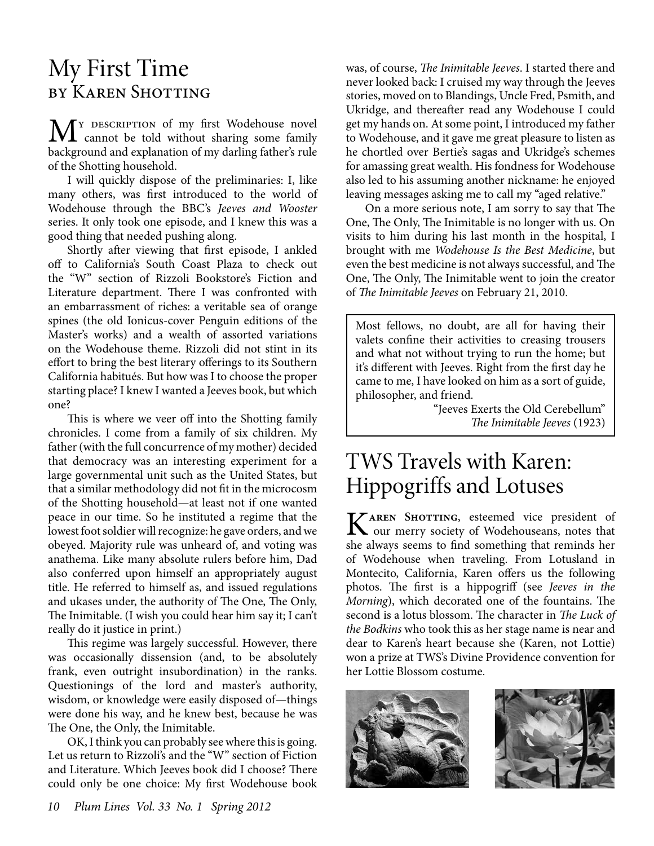### My First Time by Karen Shotting

 $\mathbf{M}^{\text{Y}$  DESCRIPTION of my first Wodehouse novel<br>be democratical without sharing some family background and explanation of my darling father's rule of the Shotting household.

I will quickly dispose of the preliminaries: I, like many others, was first introduced to the world of Wodehouse through the BBC's *Jeeves and Wooster* series. It only took one episode, and I knew this was a good thing that needed pushing along.

Shortly after viewing that first episode, I ankled off to California's South Coast Plaza to check out the "W" section of Rizzoli Bookstore's Fiction and Literature department. There I was confronted with an embarrassment of riches: a veritable sea of orange spines (the old Ionicus-cover Penguin editions of the Master's works) and a wealth of assorted variations on the Wodehouse theme. Rizzoli did not stint in its effort to bring the best literary offerings to its Southern California habitués. But how was I to choose the proper starting place? I knew I wanted a Jeeves book, but which one?

This is where we veer off into the Shotting family chronicles. I come from a family of six children. My father (with the full concurrence of my mother) decided that democracy was an interesting experiment for a large governmental unit such as the United States, but that a similar methodology did not fit in the microcosm of the Shotting household—at least not if one wanted peace in our time. So he instituted a regime that the lowest foot soldier will recognize: he gave orders, and we obeyed. Majority rule was unheard of, and voting was anathema. Like many absolute rulers before him, Dad also conferred upon himself an appropriately august title. He referred to himself as, and issued regulations and ukases under, the authority of The One, The Only, The Inimitable. (I wish you could hear him say it; I can't really do it justice in print.)

This regime was largely successful. However, there was occasionally dissension (and, to be absolutely frank, even outright insubordination) in the ranks. Questionings of the lord and master's authority, wisdom, or knowledge were easily disposed of—things were done his way, and he knew best, because he was The One, the Only, the Inimitable.

OK, I think you can probably see where this is going. Let us return to Rizzoli's and the "W" section of Fiction and Literature. Which Jeeves book did I choose? There could only be one choice: My first Wodehouse book was, of course, *The Inimitable Jeeves*. I started there and never looked back: I cruised my way through the Jeeves stories, moved on to Blandings, Uncle Fred, Psmith, and Ukridge, and thereafter read any Wodehouse I could get my hands on. At some point, I introduced my father to Wodehouse, and it gave me great pleasure to listen as he chortled over Bertie's sagas and Ukridge's schemes for amassing great wealth. His fondness for Wodehouse also led to his assuming another nickname: he enjoyed leaving messages asking me to call my "aged relative."

On a more serious note, I am sorry to say that The One, The Only, The Inimitable is no longer with us. On visits to him during his last month in the hospital, I brought with me *Wodehouse Is the Best Medicine*, but even the best medicine is not always successful, and The One, The Only, The Inimitable went to join the creator of *The Inimitable Jeeves* on February 21, 2010.

Most fellows, no doubt, are all for having their valets confine their activities to creasing trousers and what not without trying to run the home; but it's different with Jeeves. Right from the first day he came to me, I have looked on him as a sort of guide, philosopher, and friend.

"Jeeves Exerts the Old Cerebellum" *The Inimitable Jeeves* (1923)

# TWS Travels with Karen: Hippogriffs and Lotuses

**KAREN SHOTTING**, esteemed vice president of our merry society of Wodehouseans, notes that she always seems to find something that reminds her of Wodehouse when traveling. From Lotusland in Montecito, California, Karen offers us the following photos. The first is a hippogriff (see *Jeeves in the Morning*), which decorated one of the fountains. The second is a lotus blossom. The character in *The Luck of the Bodkins* who took this as her stage name is near and dear to Karen's heart because she (Karen, not Lottie) won a prize at TWS's Divine Providence convention for her Lottie Blossom costume.



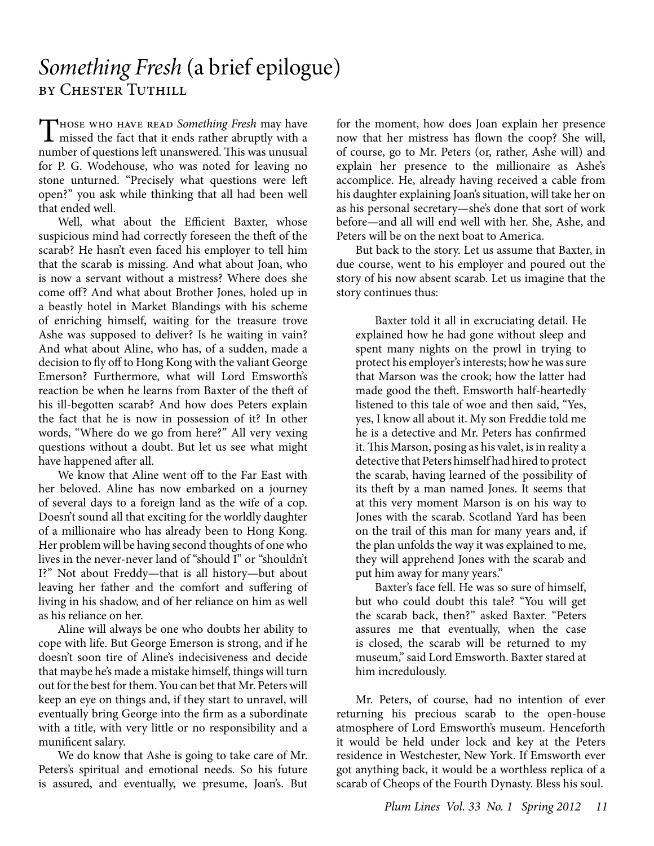### *Something Fresh* (a brief epilogue) by Chester Tuthill

THOSE WHO HAVE READ *Something Fresh* may have<br>missed the fact that it ends rather abruptly with a<br>month of sourcismal fluores and This can number of questions left unanswered. This was unusual for P. G. Wodehouse, who was noted for leaving no stone unturned. "Precisely what questions were left open?" you ask while thinking that all had been well that ended well.

Well, what about the Efficient Baxter, whose suspicious mind had correctly foreseen the theft of the scarab? He hasn't even faced his employer to tell him that the scarab is missing. And what about Joan, who is now a servant without a mistress? Where does she come off? And what about Brother Jones, holed up in a beastly hotel in Market Blandings with his scheme of enriching himself, waiting for the treasure trove Ashe was supposed to deliver? Is he waiting in vain? And what about Aline, who has, of a sudden, made a decision to fly off to Hong Kong with the valiant George Emerson? Furthermore, what will Lord Emsworth's reaction be when he learns from Baxter of the theft of his ill-begotten scarab? And how does Peters explain the fact that he is now in possession of it? In other words, "Where do we go from here?" All very vexing questions without a doubt. But let us see what might have happened after all.

We know that Aline went off to the Far East with her beloved. Aline has now embarked on a journey of several days to a foreign land as the wife of a cop. Doesn't sound all that exciting for the worldly daughter of a millionaire who has already been to Hong Kong. Her problem will be having second thoughts of one who lives in the never-never land of "should I" or "shouldn't I?" Not about Freddy—that is all history—but about leaving her father and the comfort and suffering of living in his shadow, and of her reliance on him as well as his reliance on her.

Aline will always be one who doubts her ability to cope with life. But George Emerson is strong, and if he doesn't soon tire of Aline's indecisiveness and decide that maybe he's made a mistake himself, things will turn out for the best for them. You can bet that Mr. Peters will keep an eye on things and, if they start to unravel, will eventually bring George into the firm as a subordinate with a title, with very little or no responsibility and a munificent salary.

We do know that Ashe is going to take care of Mr. Peters's spiritual and emotional needs. So his future is assured, and eventually, we presume, Joan's. But for the moment, how does Joan explain her presence now that her mistress has flown the coop? She will, of course, go to Mr. Peters (or, rather, Ashe will) and explain her presence to the millionaire as Ashe's accomplice. He, already having received a cable from his daughter explaining Joan's situation, will take her on as his personal secretary—she's done that sort of work before—and all will end well with her. She, Ashe, and Peters will be on the next boat to America.

But back to the story. Let us assume that Baxter, in due course, went to his employer and poured out the story of his now absent scarab. Let us imagine that the story continues thus:

Baxter told it all in excruciating detail. He explained how he had gone without sleep and spent many nights on the prowl in trying to protect his employer's interests; how he was sure that Marson was the crook; how the latter had made good the theft. Emsworth half-heartedly listened to this tale of woe and then said, "Yes, yes, I know all about it. My son Freddie told me he is a detective and Mr. Peters has confirmed it. This Marson, posing as his valet, is in reality a detective that Peters himself had hired to protect the scarab, having learned of the possibility of its theft by a man named Jones. It seems that at this very moment Marson is on his way to Jones with the scarab. Scotland Yard has been on the trail of this man for many years and, if the plan unfolds the way it was explained to me, they will apprehend Jones with the scarab and put him away for many years."

Baxter's face fell. He was so sure of himself, but who could doubt this tale? "You will get the scarab back, then?" asked Baxter. "Peters assures me that eventually, when the case is closed, the scarab will be returned to my museum," said Lord Emsworth. Baxter stared at him incredulously.

Mr. Peters, of course, had no intention of ever returning his precious scarab to the open-house atmosphere of Lord Emsworth's museum. Henceforth it would be held under lock and key at the Peters residence in Westchester, New York. If Emsworth ever got anything back, it would be a worthless replica of a scarab of Cheops of the Fourth Dynasty. Bless his soul.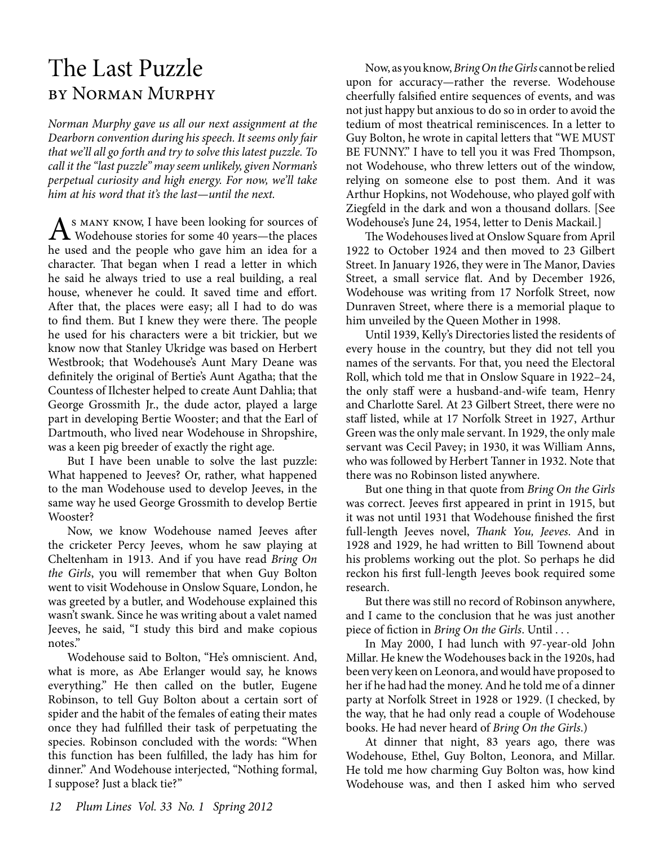# The Last Puzzle by Norman Murphy

*Norman Murphy gave us all our next assignment at the Dearborn convention during his speech. It seems only fair that we'll all go forth and try to solve this latest puzzle. To call it the "last puzzle" may seem unlikely, given Norman's perpetual curiosity and high energy. For now, we'll take him at his word that it's the last—until the next.*

A S MANY KNOW, I have been looking for sources of<br>Wodehouse stories for some 40 years—the places he used and the people who gave him an idea for a character. That began when I read a letter in which he said he always tried to use a real building, a real house, whenever he could. It saved time and effort. After that, the places were easy; all I had to do was to find them. But I knew they were there. The people he used for his characters were a bit trickier, but we know now that Stanley Ukridge was based on Herbert Westbrook; that Wodehouse's Aunt Mary Deane was definitely the original of Bertie's Aunt Agatha; that the Countess of Ilchester helped to create Aunt Dahlia; that George Grossmith Jr., the dude actor, played a large part in developing Bertie Wooster; and that the Earl of Dartmouth, who lived near Wodehouse in Shropshire, was a keen pig breeder of exactly the right age.

But I have been unable to solve the last puzzle: What happened to Jeeves? Or, rather, what happened to the man Wodehouse used to develop Jeeves, in the same way he used George Grossmith to develop Bertie Wooster?

Now, we know Wodehouse named Jeeves after the cricketer Percy Jeeves, whom he saw playing at Cheltenham in 1913. And if you have read *Bring On the Girls*, you will remember that when Guy Bolton went to visit Wodehouse in Onslow Square, London, he was greeted by a butler, and Wodehouse explained this wasn't swank. Since he was writing about a valet named Jeeves, he said, "I study this bird and make copious notes."

Wodehouse said to Bolton, "He's omniscient. And, what is more, as Abe Erlanger would say, he knows everything." He then called on the butler, Eugene Robinson, to tell Guy Bolton about a certain sort of spider and the habit of the females of eating their mates once they had fulfilled their task of perpetuating the species. Robinson concluded with the words: "When this function has been fulfilled, the lady has him for dinner." And Wodehouse interjected, "Nothing formal, I suppose? Just a black tie?"

Now, as you know, *Bring On the Girls* cannot be relied upon for accuracy—rather the reverse. Wodehouse cheerfully falsified entire sequences of events, and was not just happy but anxious to do so in order to avoid the tedium of most theatrical reminiscences. In a letter to Guy Bolton, he wrote in capital letters that "WE MUST BE FUNNY." I have to tell you it was Fred Thompson, not Wodehouse, who threw letters out of the window, relying on someone else to post them. And it was Arthur Hopkins, not Wodehouse, who played golf with Ziegfeld in the dark and won a thousand dollars. [See Wodehouse's June 24, 1954, letter to Denis Mackail.]

The Wodehouses lived at Onslow Square from April 1922 to October 1924 and then moved to 23 Gilbert Street. In January 1926, they were in The Manor, Davies Street, a small service flat. And by December 1926, Wodehouse was writing from 17 Norfolk Street, now Dunraven Street, where there is a memorial plaque to him unveiled by the Queen Mother in 1998.

Until 1939, Kelly's Directories listed the residents of every house in the country, but they did not tell you names of the servants. For that, you need the Electoral Roll, which told me that in Onslow Square in 1922–24, the only staff were a husband-and-wife team, Henry and Charlotte Sarel. At 23 Gilbert Street, there were no staff listed, while at 17 Norfolk Street in 1927, Arthur Green was the only male servant. In 1929, the only male servant was Cecil Pavey; in 1930, it was William Anns, who was followed by Herbert Tanner in 1932. Note that there was no Robinson listed anywhere.

But one thing in that quote from *Bring On the Girls* was correct. Jeeves first appeared in print in 1915, but it was not until 1931 that Wodehouse finished the first full-length Jeeves novel, *Thank You, Jeeves*. And in 1928 and 1929, he had written to Bill Townend about his problems working out the plot. So perhaps he did reckon his first full-length Jeeves book required some research.

But there was still no record of Robinson anywhere, and I came to the conclusion that he was just another piece of fiction in *Bring On the Girls*. Until . . .

In May 2000, I had lunch with 97-year-old John Millar. He knew the Wodehouses back in the 1920s, had been very keen on Leonora, and would have proposed to her if he had had the money. And he told me of a dinner party at Norfolk Street in 1928 or 1929. (I checked, by the way, that he had only read a couple of Wodehouse books. He had never heard of *Bring On the Girls*.)

At dinner that night, 83 years ago, there was Wodehouse, Ethel, Guy Bolton, Leonora, and Millar. He told me how charming Guy Bolton was, how kind Wodehouse was, and then I asked him who served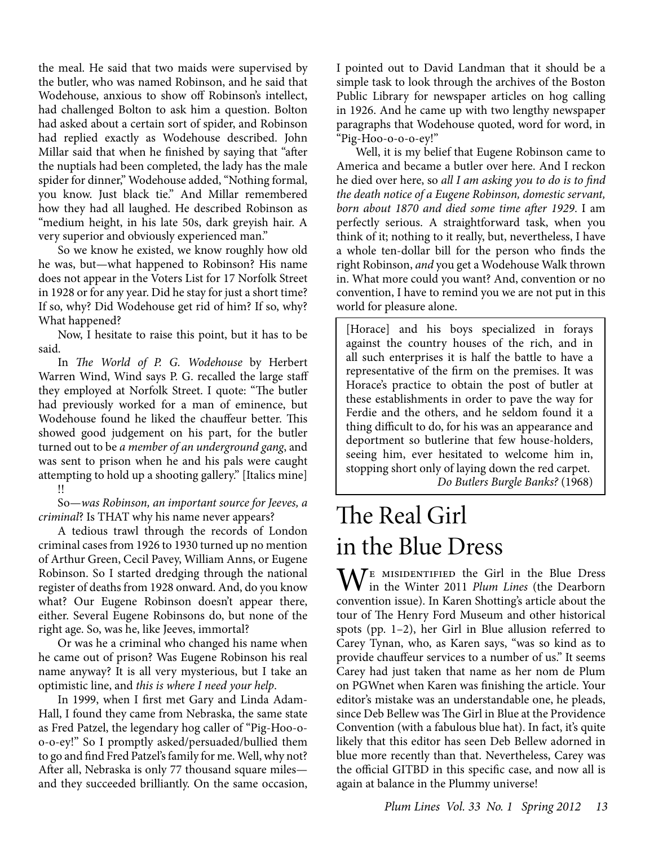the meal. He said that two maids were supervised by the butler, who was named Robinson, and he said that Wodehouse, anxious to show off Robinson's intellect, had challenged Bolton to ask him a question. Bolton had asked about a certain sort of spider, and Robinson had replied exactly as Wodehouse described. John Millar said that when he finished by saying that "after the nuptials had been completed, the lady has the male spider for dinner," Wodehouse added, "Nothing formal, you know. Just black tie." And Millar remembered how they had all laughed. He described Robinson as "medium height, in his late 50s, dark greyish hair. A very superior and obviously experienced man."

So we know he existed, we know roughly how old he was, but—what happened to Robinson? His name does not appear in the Voters List for 17 Norfolk Street in 1928 or for any year. Did he stay for just a short time? If so, why? Did Wodehouse get rid of him? If so, why? What happened?

Now, I hesitate to raise this point, but it has to be said.

In *The World of P. G. Wodehouse* by Herbert Warren Wind, Wind says P. G. recalled the large staff they employed at Norfolk Street. I quote: "The butler had previously worked for a man of eminence, but Wodehouse found he liked the chauffeur better. This showed good judgement on his part, for the butler turned out to be *a member of an underground gang*, and was sent to prison when he and his pals were caught attempting to hold up a shooting gallery." [Italics mine] !!

So—*was Robinson, an important source for Jeeves, a criminal*? Is THAT why his name never appears?

A tedious trawl through the records of London criminal cases from 1926 to 1930 turned up no mention of Arthur Green, Cecil Pavey, William Anns, or Eugene Robinson. So I started dredging through the national register of deaths from 1928 onward. And, do you know what? Our Eugene Robinson doesn't appear there, either. Several Eugene Robinsons do, but none of the right age. So, was he, like Jeeves, immortal?

Or was he a criminal who changed his name when he came out of prison? Was Eugene Robinson his real name anyway? It is all very mysterious, but I take an optimistic line, and *this is where I need your help*.

In 1999, when I first met Gary and Linda Adam-Hall, I found they came from Nebraska, the same state as Fred Patzel, the legendary hog caller of "Pig-Hoo-oo-o-ey!" So I promptly asked/persuaded/bullied them to go and find Fred Patzel's family for me. Well, why not? After all, Nebraska is only 77 thousand square miles and they succeeded brilliantly. On the same occasion, I pointed out to David Landman that it should be a simple task to look through the archives of the Boston Public Library for newspaper articles on hog calling in 1926. And he came up with two lengthy newspaper paragraphs that Wodehouse quoted, word for word, in "Pig-Hoo-o-o-o-ey!"

Well, it is my belief that Eugene Robinson came to America and became a butler over here. And I reckon he died over here, so *all I am asking you to do is to find the death notice of a Eugene Robinson, domestic servant, born about 1870 and died some time after 1929*. I am perfectly serious. A straightforward task, when you think of it; nothing to it really, but, nevertheless, I have a whole ten-dollar bill for the person who finds the right Robinson, *and* you get a Wodehouse Walk thrown in. What more could you want? And, convention or no convention, I have to remind you we are not put in this world for pleasure alone.

[Horace] and his boys specialized in forays against the country houses of the rich, and in all such enterprises it is half the battle to have a representative of the firm on the premises. It was Horace's practice to obtain the post of butler at these establishments in order to pave the way for Ferdie and the others, and he seldom found it a thing difficult to do, for his was an appearance and deportment so butlerine that few house-holders, seeing him, ever hesitated to welcome him in, stopping short only of laying down the red carpet.

*Do Butlers Burgle Banks?* (1968)

# The Real Girl in the Blue Dress

 $M^E$  MISIDENTIFIED the Girl in the Blue Dress in the Winter 2011 *Plum Lines* (the Dearborn convention issue). In Karen Shotting's article about the tour of The Henry Ford Museum and other historical spots (pp. 1–2), her Girl in Blue allusion referred to Carey Tynan, who, as Karen says, "was so kind as to provide chauffeur services to a number of us." It seems Carey had just taken that name as her nom de Plum on PGWnet when Karen was finishing the article. Your editor's mistake was an understandable one, he pleads, since Deb Bellew was The Girl in Blue at the Providence Convention (with a fabulous blue hat). In fact, it's quite likely that this editor has seen Deb Bellew adorned in blue more recently than that. Nevertheless, Carey was the official GITBD in this specific case, and now all is again at balance in the Plummy universe!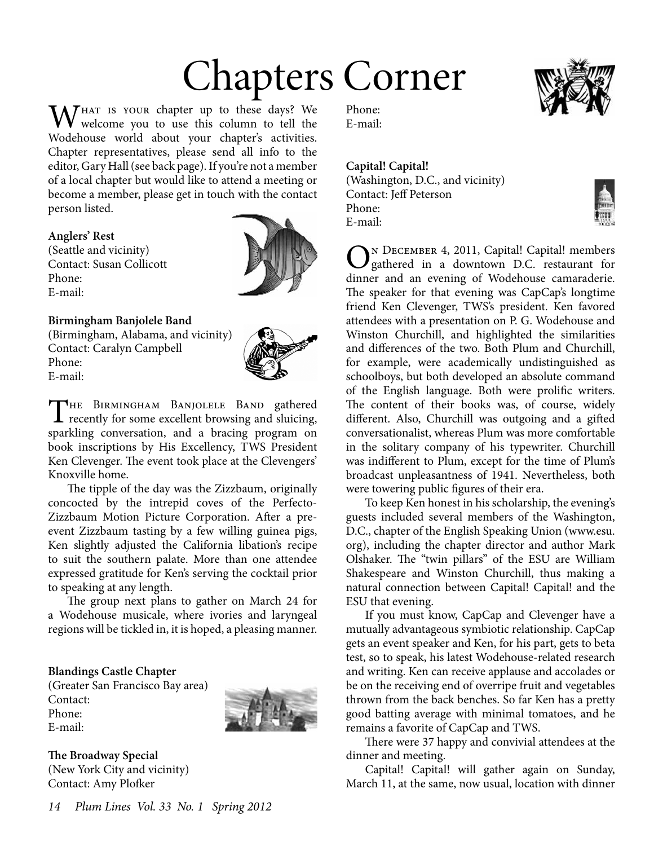# Chapters Corner

 $\Lambda$ *THAT IS YOUR chapter up to these days? We* welcome you to use this column to tell the Wodehouse world about your chapter's activities. Chapter representatives, please send all info to the editor, Gary Hall (see back page). If you're not a member of a local chapter but would like to attend a meeting or become a member, please get in touch with the contact person listed.

#### **Anglers' Rest**

(Seattle and vicinity) Contact: Susan Collicott Phone: E-mail:



#### **Birmingham Banjolele Band**

(Birmingham, Alabama, and vicinity) Contact: Caralyn Campbell Phone: E-mail:



The Birmingham Banjolele Band gathered  $\blacktriangle$  recently for some excellent browsing and sluicing, sparkling conversation, and a bracing program on book inscriptions by His Excellency, TWS President Ken Clevenger. The event took place at the Clevengers' Knoxville home.

The tipple of the day was the Zizzbaum, originally concocted by the intrepid coves of the Perfecto-Zizzbaum Motion Picture Corporation. After a preevent Zizzbaum tasting by a few willing guinea pigs, Ken slightly adjusted the California libation's recipe to suit the southern palate. More than one attendee expressed gratitude for Ken's serving the cocktail prior to speaking at any length.

The group next plans to gather on March 24 for a Wodehouse musicale, where ivories and laryngeal regions will be tickled in, it is hoped, a pleasing manner.

#### **Blandings Castle Chapter**

(Greater San Francisco Bay area) Contact: Phone: E-mail:



**The Broadway Special** (New York City and vicinity) Contact: Amy Plofker

Phone: E-mail:

#### **Capital! Capital!**

(Washington, D.C., and vicinity) Contact: Jeff Peterson Phone: E-mail:



ON DECEMBER 4, 2011, Capital! Capital! members<br>gathered in a downtown D.C. restaurant for dinner and an evening of Wodehouse camaraderie. The speaker for that evening was CapCap's longtime friend Ken Clevenger, TWS's president. Ken favored attendees with a presentation on P. G. Wodehouse and Winston Churchill, and highlighted the similarities and differences of the two. Both Plum and Churchill, for example, were academically undistinguished as schoolboys, but both developed an absolute command of the English language. Both were prolific writers. The content of their books was, of course, widely different. Also, Churchill was outgoing and a gifted conversationalist, whereas Plum was more comfortable in the solitary company of his typewriter. Churchill was indifferent to Plum, except for the time of Plum's broadcast unpleasantness of 1941. Nevertheless, both were towering public figures of their era.

To keep Ken honest in his scholarship, the evening's guests included several members of the Washington, D.C., chapter of the English Speaking Union (www.esu. org), including the chapter director and author Mark Olshaker. The "twin pillars" of the ESU are William Shakespeare and Winston Churchill, thus making a natural connection between Capital! Capital! and the ESU that evening.

If you must know, CapCap and Clevenger have a mutually advantageous symbiotic relationship. CapCap gets an event speaker and Ken, for his part, gets to beta test, so to speak, his latest Wodehouse-related research and writing. Ken can receive applause and accolades or be on the receiving end of overripe fruit and vegetables thrown from the back benches. So far Ken has a pretty good batting average with minimal tomatoes, and he remains a favorite of CapCap and TWS.

There were 37 happy and convivial attendees at the dinner and meeting.

Capital! Capital! will gather again on Sunday, March 11, at the same, now usual, location with dinner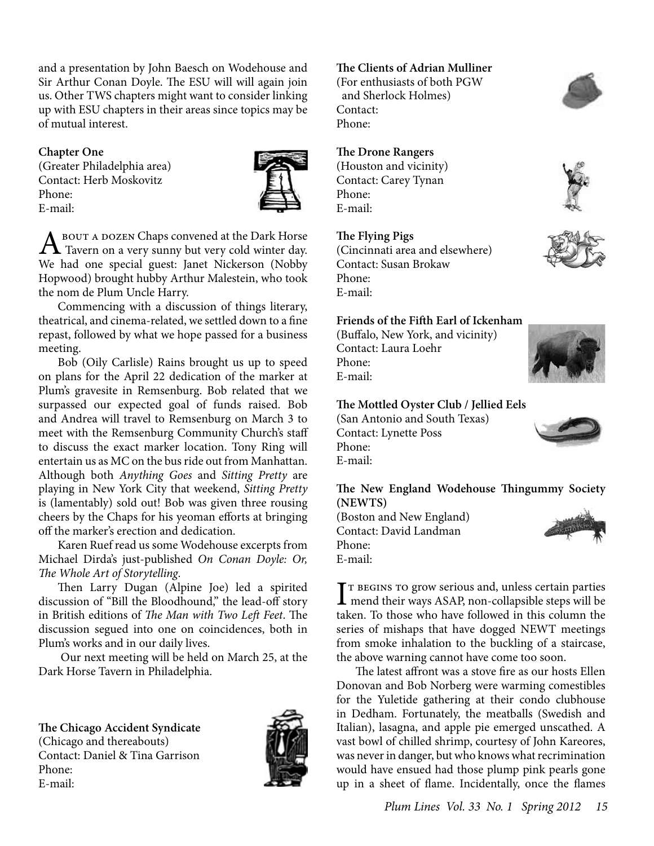and a presentation by John Baesch on Wodehouse and Sir Arthur Conan Doyle. The ESU will will again join us. Other TWS chapters might want to consider linking up with ESU chapters in their areas since topics may be of mutual interest.

#### **Chapter One**

(Greater Philadelphia area) Contact: Herb Moskovitz Phone: E-mail:



A BOUT A DOZEN Chaps convened at the Dark Horse<br>Tavern on a very sunny but very cold winter day. We had one special guest: Janet Nickerson (Nobby Hopwood) brought hubby Arthur Malestein, who took the nom de Plum Uncle Harry.

Commencing with a discussion of things literary, theatrical, and cinema-related, we settled down to a fine repast, followed by what we hope passed for a business meeting.

Bob (Oily Carlisle) Rains brought us up to speed on plans for the April 22 dedication of the marker at Plum's gravesite in Remsenburg. Bob related that we surpassed our expected goal of funds raised. Bob and Andrea will travel to Remsenburg on March 3 to meet with the Remsenburg Community Church's staff to discuss the exact marker location. Tony Ring will entertain us as MC on the bus ride out from Manhattan. Although both *Anything Goes* and *Sitting Pretty* are playing in New York City that weekend, *Sitting Pretty* is (lamentably) sold out! Bob was given three rousing cheers by the Chaps for his yeoman efforts at bringing off the marker's erection and dedication.

Karen Ruef read us some Wodehouse excerpts from Michael Dirda's just-published *On Conan Doyle: Or, The Whole Art of Storytelling*.

Then Larry Dugan (Alpine Joe) led a spirited discussion of "Bill the Bloodhound," the lead-off story in British editions of *The Man with Two Left Feet*. The discussion segued into one on coincidences, both in Plum's works and in our daily lives.

 Our next meeting will be held on March 25, at the Dark Horse Tavern in Philadelphia.

**The Chicago Accident Syndicate** (Chicago and thereabouts) Contact: Daniel & Tina Garrison Phone: E-mail:



#### **The Clients of Adrian Mulliner**

(For enthusiasts of both PGW and Sherlock Holmes) Contact: Phone:

#### **The Drone Rangers**

(Houston and vicinity) Contact: Carey Tynan Phone: E-mail:

#### **The Flying Pigs**

(Cincinnati area and elsewhere) Contact: Susan Brokaw Phone: E-mail:

#### **Friends of the Fifth Earl of Ickenham**

(Buffalo, New York, and vicinity) Contact: Laura Loehr Phone: E-mail:

#### **The Mottled Oyster Club / Jellied Eels**

(San Antonio and South Texas) Contact: Lynette Poss Phone: E-mail:

**The New England Wodehouse Thingummy Society (NEWTS)**

(Boston and New England) Contact: David Landman Phone: E-mail:



T BEGINS TO grow serious and, unless certain parties<br>mend their ways ASAP, non-collapsible steps will be<br>taken. To the sense have followed in this selection.  $\mathbf{T}$  r BEGINS TO grow serious and, unless certain parties taken. To those who have followed in this column the series of mishaps that have dogged NEWT meetings from smoke inhalation to the buckling of a staircase, the above warning cannot have come too soon.

The latest affront was a stove fire as our hosts Ellen Donovan and Bob Norberg were warming comestibles for the Yuletide gathering at their condo clubhouse in Dedham. Fortunately, the meatballs (Swedish and Italian), lasagna, and apple pie emerged unscathed. A vast bowl of chilled shrimp, courtesy of John Kareores, was never in danger, but who knows what recrimination would have ensued had those plump pink pearls gone up in a sheet of flame. Incidentally, once the flames





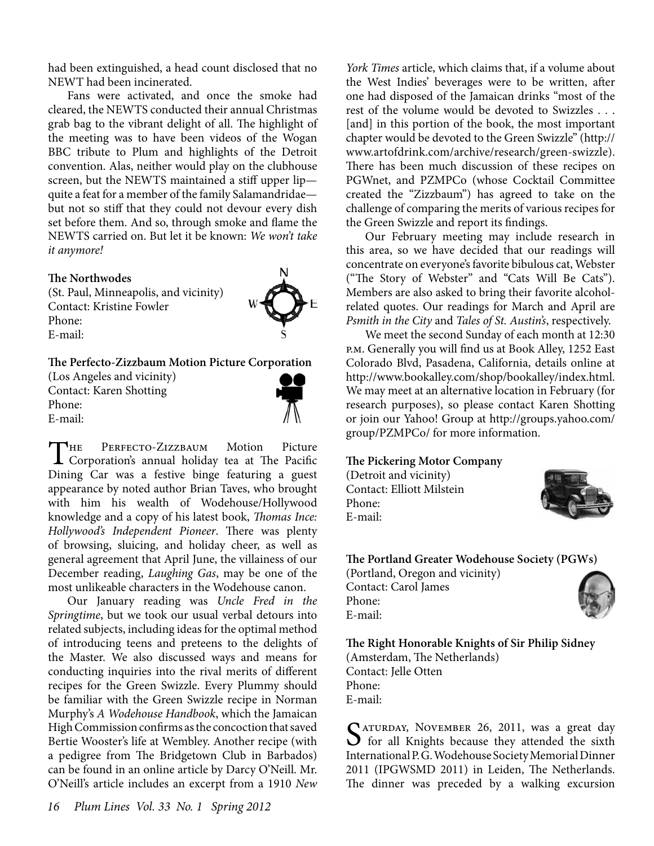had been extinguished, a head count disclosed that no NEWT had been incinerated.

Fans were activated, and once the smoke had cleared, the NEWTS conducted their annual Christmas grab bag to the vibrant delight of all. The highlight of the meeting was to have been videos of the Wogan BBC tribute to Plum and highlights of the Detroit convention. Alas, neither would play on the clubhouse screen, but the NEWTS maintained a stiff upper lip quite a feat for a member of the family Salamandridae but not so stiff that they could not devour every dish set before them. And so, through smoke and flame the NEWTS carried on. But let it be known: *We won't take it anymore!*

#### **The Northwodes**

(St. Paul, Minneapolis, and vicinity) Contact: Kristine Fowler Phone: E-mail:



#### **The Perfecto-Zizzbaum Motion Picture Corporation**

(Los Angeles and vicinity) Contact: Karen Shotting Phone: E-mail:



The Perfecto-Zizzbaum Motion Picture Corporation's annual holiday tea at The Pacific Dining Car was a festive binge featuring a guest appearance by noted author Brian Taves, who brought with him his wealth of Wodehouse/Hollywood knowledge and a copy of his latest book, *Thomas Ince: Hollywood's Independent Pioneer*. There was plenty of browsing, sluicing, and holiday cheer, as well as general agreement that April June, the villainess of our December reading, *Laughing Gas*, may be one of the most unlikeable characters in the Wodehouse canon.

Our January reading was *Uncle Fred in the Springtime*, but we took our usual verbal detours into related subjects, including ideas for the optimal method of introducing teens and preteens to the delights of the Master. We also discussed ways and means for conducting inquiries into the rival merits of different recipes for the Green Swizzle. Every Plummy should be familiar with the Green Swizzle recipe in Norman Murphy's *A Wodehouse Handbook*, which the Jamaican High Commission confirms as the concoction that saved Bertie Wooster's life at Wembley. Another recipe (with a pedigree from The Bridgetown Club in Barbados) can be found in an online article by Darcy O'Neill. Mr. O'Neill's article includes an excerpt from a 1910 *New* 

*York Times* article, which claims that, if a volume about the West Indies' beverages were to be written, after one had disposed of the Jamaican drinks "most of the rest of the volume would be devoted to Swizzles . . . [and] in this portion of the book, the most important chapter would be devoted to the Green Swizzle" (http:// www.artofdrink.com/archive/research/green-swizzle). There has been much discussion of these recipes on PGWnet, and PZMPCo (whose Cocktail Committee created the "Zizzbaum") has agreed to take on the challenge of comparing the merits of various recipes for the Green Swizzle and report its findings.

Our February meeting may include research in this area, so we have decided that our readings will concentrate on everyone's favorite bibulous cat, Webster ("The Story of Webster" and "Cats Will Be Cats"). Members are also asked to bring their favorite alcoholrelated quotes. Our readings for March and April are *Psmith in the City* and *Tales of St. Austin's*, respectively.

We meet the second Sunday of each month at 12:30 p.m. Generally you will find us at Book Alley, 1252 East Colorado Blvd, Pasadena, California, details online at http://www.bookalley.com/shop/bookalley/index.html. We may meet at an alternative location in February (for research purposes), so please contact Karen Shotting or join our Yahoo! Group at http://groups.yahoo.com/ group/PZMPCo/ for more information.

#### **The Pickering Motor Company**

(Detroit and vicinity) Contact: Elliott Milstein Phone: E-mail:



#### **The Portland Greater Wodehouse Society (PGWs)**

(Portland, Oregon and vicinity) Contact: Carol James Phone: E-mail:



**The Right Honorable Knights of Sir Philip Sidney** (Amsterdam, The Netherlands) Contact: Jelle Otten Phone: E-mail:

SATURDAY, NOVEMBER 26, 2011, was a great day<br>
for all Knights because they attended the sixth<br>
International D.G. We delegate Manuscript Diagon International P. G. Wodehouse Society Memorial Dinner 2011 (IPGWSMD 2011) in Leiden, The Netherlands. The dinner was preceded by a walking excursion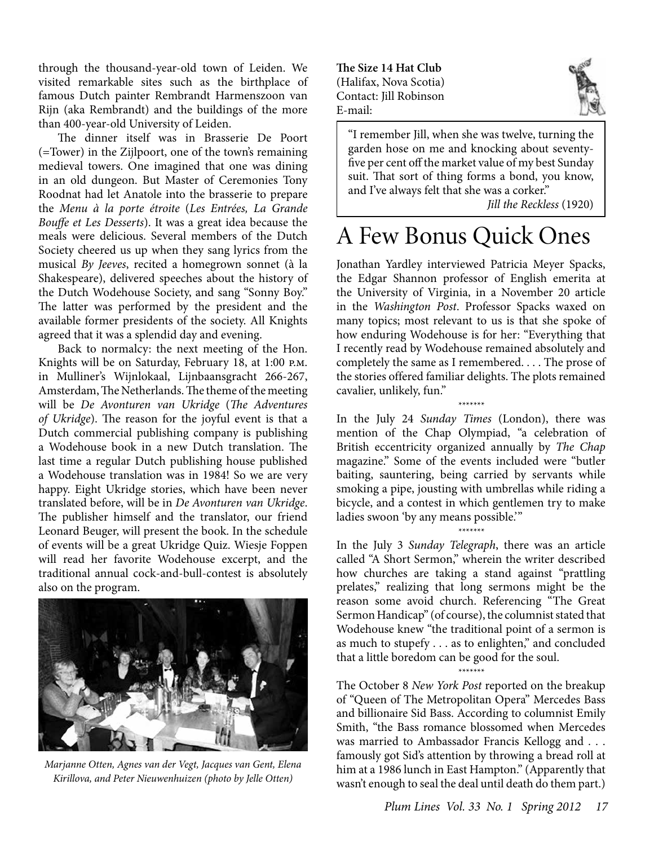through the thousand-year-old town of Leiden. We visited remarkable sites such as the birthplace of famous Dutch painter Rembrandt Harmenszoon van Rijn (aka Rembrandt) and the buildings of the more than 400-year-old University of Leiden.

The dinner itself was in Brasserie De Poort (=Tower) in the Zijlpoort, one of the town's remaining medieval towers. One imagined that one was dining in an old dungeon. But Master of Ceremonies Tony Roodnat had let Anatole into the brasserie to prepare the *Menu à la porte étroite* (*Les Entrées, La Grande Bouffe et Les Desserts*). It was a great idea because the meals were delicious. Several members of the Dutch Society cheered us up when they sang lyrics from the musical *By Jeeves*, recited a homegrown sonnet (à la Shakespeare), delivered speeches about the history of the Dutch Wodehouse Society, and sang "Sonny Boy." The latter was performed by the president and the available former presidents of the society. All Knights agreed that it was a splendid day and evening.

Back to normalcy: the next meeting of the Hon. Knights will be on Saturday, February 18, at 1:00 p.m. in Mulliner's Wijnlokaal, Lijnbaansgracht 266-267, Amsterdam, The Netherlands. The theme of the meeting will be *De Avonturen van Ukridge* (*The Adventures of Ukridge*). The reason for the joyful event is that a Dutch commercial publishing company is publishing a Wodehouse book in a new Dutch translation. The last time a regular Dutch publishing house published a Wodehouse translation was in 1984! So we are very happy. Eight Ukridge stories, which have been never translated before, will be in *De Avonturen van Ukridge*. The publisher himself and the translator, our friend Leonard Beuger, will present the book. In the schedule of events will be a great Ukridge Quiz. Wiesje Foppen will read her favorite Wodehouse excerpt, and the traditional annual cock-and-bull-contest is absolutely also on the program.



*Marjanne Otten, Agnes van der Vegt, Jacques van Gent, Elena Kirillova, and Peter Nieuwenhuizen (photo by Jelle Otten)*

**The Size 14 Hat Club** (Halifax, Nova Scotia) Contact: Jill Robinson E-mail:



"I remember Jill, when she was twelve, turning the garden hose on me and knocking about seventyfive per cent off the market value of my best Sunday suit. That sort of thing forms a bond, you know, and I've always felt that she was a corker."

*Jill the Reckless* (1920)

# A Few Bonus Quick Ones

Jonathan Yardley interviewed Patricia Meyer Spacks, the Edgar Shannon professor of English emerita at the University of Virginia, in a November 20 article in the *Washington Post*. Professor Spacks waxed on many topics; most relevant to us is that she spoke of how enduring Wodehouse is for her: "Everything that I recently read by Wodehouse remained absolutely and completely the same as I remembered. . . . The prose of the stories offered familiar delights. The plots remained cavalier, unlikely, fun."

*\*\*\*\*\*\*\** In the July 24 *Sunday Times* (London), there was mention of the Chap Olympiad, "a celebration of British eccentricity organized annually by *The Chap* magazine." Some of the events included were "butler baiting, sauntering, being carried by servants while smoking a pipe, jousting with umbrellas while riding a bicycle, and a contest in which gentlemen try to make ladies swoon 'by any means possible.'"

*\*\*\*\*\*\*\**

In the July 3 *Sunday Telegraph*, there was an article called "A Short Sermon," wherein the writer described how churches are taking a stand against "prattling prelates," realizing that long sermons might be the reason some avoid church. Referencing "The Great Sermon Handicap" (of course), the columnist stated that Wodehouse knew "the traditional point of a sermon is as much to stupefy . . . as to enlighten," and concluded that a little boredom can be good for the soul.

*\*\*\*\*\*\*\**

The October 8 *New York Post* reported on the breakup of "Queen of The Metropolitan Opera" Mercedes Bass and billionaire Sid Bass. According to columnist Emily Smith, "the Bass romance blossomed when Mercedes was married to Ambassador Francis Kellogg and . . . famously got Sid's attention by throwing a bread roll at him at a 1986 lunch in East Hampton." (Apparently that wasn't enough to seal the deal until death do them part.)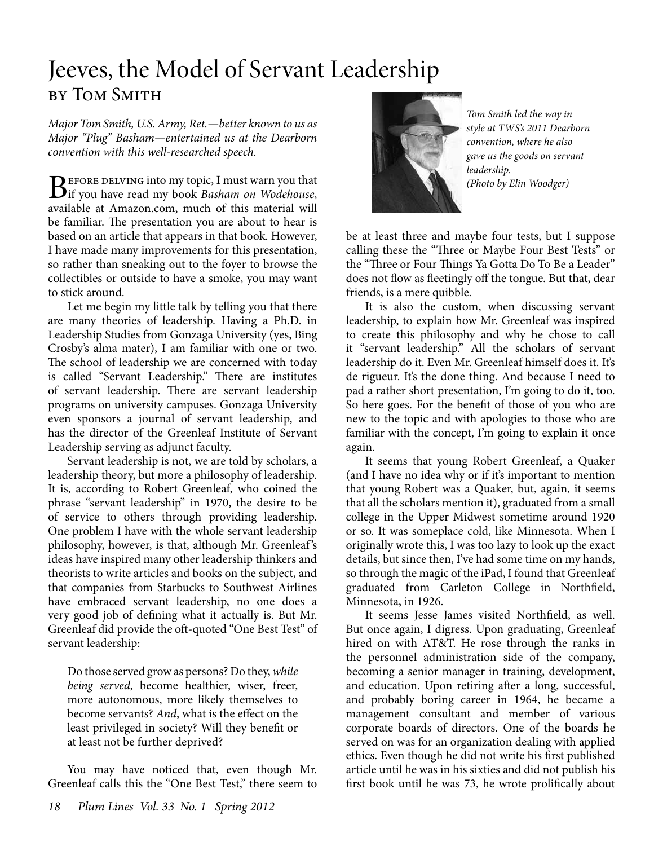# Jeeves, the Model of Servant Leadership by Tom Smith

*Major Tom Smith, U.S. Army, Ret.—better known to us as Major "Plug" Basham—entertained us at the Dearborn convention with this well-researched speech.* 

**B**EFORE DELVING into my topic, I must warn you that if you have read my book *Basham on Wodehouse*, available at Amazon.com, much of this material will be familiar. The presentation you are about to hear is based on an article that appears in that book. However, I have made many improvements for this presentation, so rather than sneaking out to the foyer to browse the collectibles or outside to have a smoke, you may want to stick around.

Let me begin my little talk by telling you that there are many theories of leadership. Having a Ph.D. in Leadership Studies from Gonzaga University (yes, Bing Crosby's alma mater), I am familiar with one or two. The school of leadership we are concerned with today is called "Servant Leadership." There are institutes of servant leadership. There are servant leadership programs on university campuses. Gonzaga University even sponsors a journal of servant leadership, and has the director of the Greenleaf Institute of Servant Leadership serving as adjunct faculty.

Servant leadership is not, we are told by scholars, a leadership theory, but more a philosophy of leadership. It is, according to Robert Greenleaf, who coined the phrase "servant leadership" in 1970, the desire to be of service to others through providing leadership. One problem I have with the whole servant leadership philosophy, however, is that, although Mr. Greenleaf 's ideas have inspired many other leadership thinkers and theorists to write articles and books on the subject, and that companies from Starbucks to Southwest Airlines have embraced servant leadership, no one does a very good job of defining what it actually is. But Mr. Greenleaf did provide the oft-quoted "One Best Test" of servant leadership:

Do those served grow as persons? Do they, *while being served*, become healthier, wiser, freer, more autonomous, more likely themselves to become servants? *And*, what is the effect on the least privileged in society? Will they benefit or at least not be further deprived?

You may have noticed that, even though Mr. Greenleaf calls this the "One Best Test," there seem to



*Tom Smith led the way in style at TWS's 2011 Dearborn convention, where he also gave us the goods on servant leadership. (Photo by Elin Woodger)*

be at least three and maybe four tests, but I suppose calling these the "Three or Maybe Four Best Tests" or the "Three or Four Things Ya Gotta Do To Be a Leader" does not flow as fleetingly off the tongue. But that, dear friends, is a mere quibble.

It is also the custom, when discussing servant leadership, to explain how Mr. Greenleaf was inspired to create this philosophy and why he chose to call it "servant leadership." All the scholars of servant leadership do it. Even Mr. Greenleaf himself does it. It's de rigueur. It's the done thing. And because I need to pad a rather short presentation, I'm going to do it, too. So here goes. For the benefit of those of you who are new to the topic and with apologies to those who are familiar with the concept, I'm going to explain it once again.

It seems that young Robert Greenleaf, a Quaker (and I have no idea why or if it's important to mention that young Robert was a Quaker, but, again, it seems that all the scholars mention it), graduated from a small college in the Upper Midwest sometime around 1920 or so. It was someplace cold, like Minnesota. When I originally wrote this, I was too lazy to look up the exact details, but since then, I've had some time on my hands, so through the magic of the iPad, I found that Greenleaf graduated from Carleton College in Northfield, Minnesota, in 1926.

It seems Jesse James visited Northfield, as well. But once again, I digress. Upon graduating, Greenleaf hired on with AT&T. He rose through the ranks in the personnel administration side of the company, becoming a senior manager in training, development, and education. Upon retiring after a long, successful, and probably boring career in 1964, he became a management consultant and member of various corporate boards of directors. One of the boards he served on was for an organization dealing with applied ethics. Even though he did not write his first published article until he was in his sixties and did not publish his first book until he was 73, he wrote prolifically about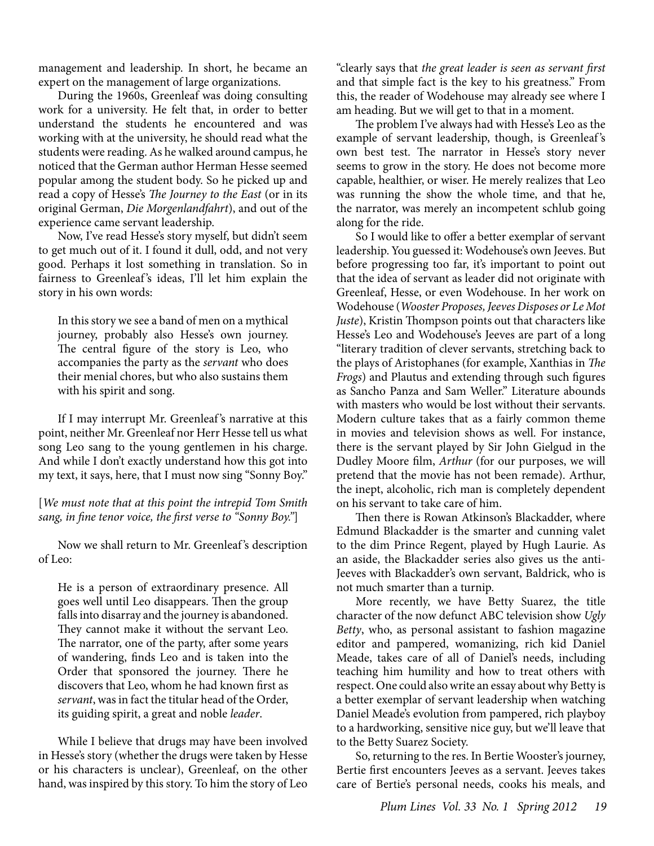management and leadership. In short, he became an expert on the management of large organizations.

During the 1960s, Greenleaf was doing consulting work for a university. He felt that, in order to better understand the students he encountered and was working with at the university, he should read what the students were reading. As he walked around campus, he noticed that the German author Herman Hesse seemed popular among the student body. So he picked up and read a copy of Hesse's *The Journey to the East* (or in its original German, *Die Morgenlandfahrt*), and out of the experience came servant leadership.

Now, I've read Hesse's story myself, but didn't seem to get much out of it. I found it dull, odd, and not very good. Perhaps it lost something in translation. So in fairness to Greenleaf's ideas, I'll let him explain the story in his own words:

In this story we see a band of men on a mythical journey, probably also Hesse's own journey. The central figure of the story is Leo, who accompanies the party as the *servant* who does their menial chores, but who also sustains them with his spirit and song.

If I may interrupt Mr. Greenleaf 's narrative at this point, neither Mr. Greenleaf nor Herr Hesse tell us what song Leo sang to the young gentlemen in his charge. And while I don't exactly understand how this got into my text, it says, here, that I must now sing "Sonny Boy."

[*We must note that at this point the intrepid Tom Smith sang, in fine tenor voice, the first verse to "Sonny Boy."*]

Now we shall return to Mr. Greenleaf 's description of Leo:

He is a person of extraordinary presence. All goes well until Leo disappears. Then the group falls into disarray and the journey is abandoned. They cannot make it without the servant Leo. The narrator, one of the party, after some years of wandering, finds Leo and is taken into the Order that sponsored the journey. There he discovers that Leo, whom he had known first as *servant*, was in fact the titular head of the Order, its guiding spirit, a great and noble *leader*.

While I believe that drugs may have been involved in Hesse's story (whether the drugs were taken by Hesse or his characters is unclear), Greenleaf, on the other hand, was inspired by this story. To him the story of Leo

"clearly says that *the great leader is seen as servant first*  and that simple fact is the key to his greatness." From this, the reader of Wodehouse may already see where I am heading. But we will get to that in a moment.

The problem I've always had with Hesse's Leo as the example of servant leadership, though, is Greenleaf's own best test. The narrator in Hesse's story never seems to grow in the story. He does not become more capable, healthier, or wiser. He merely realizes that Leo was running the show the whole time, and that he, the narrator, was merely an incompetent schlub going along for the ride.

So I would like to offer a better exemplar of servant leadership. You guessed it: Wodehouse's own Jeeves. But before progressing too far, it's important to point out that the idea of servant as leader did not originate with Greenleaf, Hesse, or even Wodehouse. In her work on Wodehouse (*Wooster Proposes, Jeeves Disposes or Le Mot Juste*), Kristin Thompson points out that characters like Hesse's Leo and Wodehouse's Jeeves are part of a long "literary tradition of clever servants, stretching back to the plays of Aristophanes (for example, Xanthias in *The Frogs*) and Plautus and extending through such figures as Sancho Panza and Sam Weller." Literature abounds with masters who would be lost without their servants. Modern culture takes that as a fairly common theme in movies and television shows as well. For instance, there is the servant played by Sir John Gielgud in the Dudley Moore film, *Arthur* (for our purposes, we will pretend that the movie has not been remade). Arthur, the inept, alcoholic, rich man is completely dependent on his servant to take care of him.

Then there is Rowan Atkinson's Blackadder, where Edmund Blackadder is the smarter and cunning valet to the dim Prince Regent, played by Hugh Laurie. As an aside, the Blackadder series also gives us the anti-Jeeves with Blackadder's own servant, Baldrick, who is not much smarter than a turnip.

More recently, we have Betty Suarez, the title character of the now defunct ABC television show *Ugly Betty*, who, as personal assistant to fashion magazine editor and pampered, womanizing, rich kid Daniel Meade, takes care of all of Daniel's needs, including teaching him humility and how to treat others with respect. One could also write an essay about why Betty is a better exemplar of servant leadership when watching Daniel Meade's evolution from pampered, rich playboy to a hardworking, sensitive nice guy, but we'll leave that to the Betty Suarez Society.

So, returning to the res. In Bertie Wooster's journey, Bertie first encounters Jeeves as a servant. Jeeves takes care of Bertie's personal needs, cooks his meals, and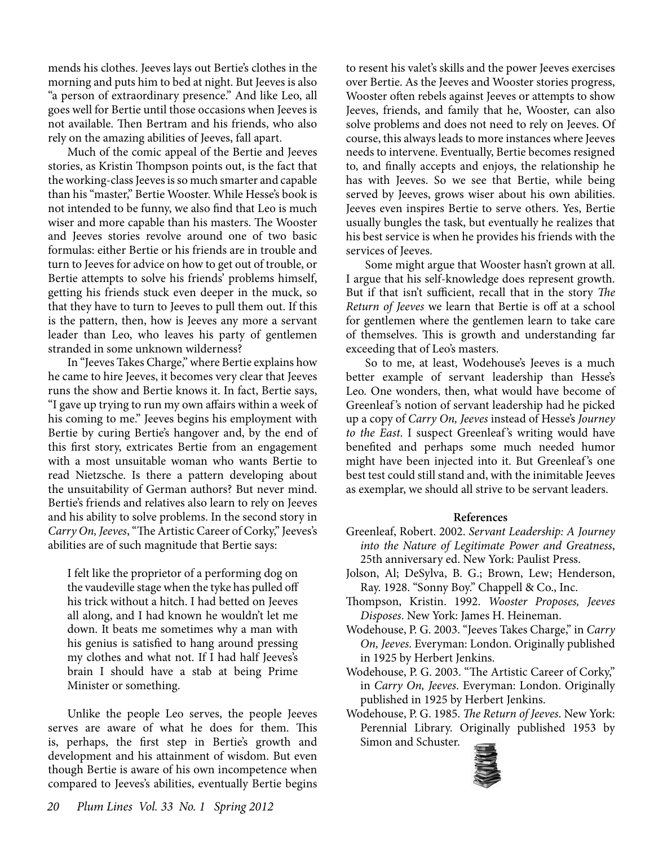mends his clothes. Jeeves lays out Bertie's clothes in the morning and puts him to bed at night. But Jeeves is also "a person of extraordinary presence." And like Leo, all goes well for Bertie until those occasions when Jeeves is not available. Then Bertram and his friends, who also rely on the amazing abilities of Jeeves, fall apart.

Much of the comic appeal of the Bertie and Jeeves stories, as Kristin Thompson points out, is the fact that the working-class Jeeves is so much smarter and capable than his "master," Bertie Wooster. While Hesse's book is not intended to be funny, we also find that Leo is much wiser and more capable than his masters. The Wooster and Jeeves stories revolve around one of two basic formulas: either Bertie or his friends are in trouble and turn to Jeeves for advice on how to get out of trouble, or Bertie attempts to solve his friends' problems himself, getting his friends stuck even deeper in the muck, so that they have to turn to Jeeves to pull them out. If this is the pattern, then, how is Jeeves any more a servant leader than Leo, who leaves his party of gentlemen stranded in some unknown wilderness?

In "Jeeves Takes Charge," where Bertie explains how he came to hire Jeeves, it becomes very clear that Jeeves runs the show and Bertie knows it. In fact, Bertie says, "I gave up trying to run my own affairs within a week of his coming to me." Jeeves begins his employment with Bertie by curing Bertie's hangover and, by the end of this first story, extricates Bertie from an engagement with a most unsuitable woman who wants Bertie to read Nietzsche. Is there a pattern developing about the unsuitability of German authors? But never mind. Bertie's friends and relatives also learn to rely on Jeeves and his ability to solve problems. In the second story in *Carry On, Jeeves*, "The Artistic Career of Corky," Jeeves's abilities are of such magnitude that Bertie says:

I felt like the proprietor of a performing dog on the vaudeville stage when the tyke has pulled off his trick without a hitch. I had betted on Jeeves all along, and I had known he wouldn't let me down. It beats me sometimes why a man with his genius is satisfied to hang around pressing my clothes and what not. If I had half Jeeves's brain I should have a stab at being Prime Minister or something.

Unlike the people Leo serves, the people Jeeves serves are aware of what he does for them. This is, perhaps, the first step in Bertie's growth and development and his attainment of wisdom. But even though Bertie is aware of his own incompetence when compared to Jeeves's abilities, eventually Bertie begins

to resent his valet's skills and the power Jeeves exercises over Bertie. As the Jeeves and Wooster stories progress, Wooster often rebels against Jeeves or attempts to show Jeeves, friends, and family that he, Wooster, can also solve problems and does not need to rely on Jeeves. Of course, this always leads to more instances where Jeeves needs to intervene. Eventually, Bertie becomes resigned to, and finally accepts and enjoys, the relationship he has with Jeeves. So we see that Bertie, while being served by Jeeves, grows wiser about his own abilities. Jeeves even inspires Bertie to serve others. Yes, Bertie usually bungles the task, but eventually he realizes that his best service is when he provides his friends with the services of Jeeves.

Some might argue that Wooster hasn't grown at all. I argue that his self-knowledge does represent growth. But if that isn't sufficient, recall that in the story *The Return of Jeeves* we learn that Bertie is off at a school for gentlemen where the gentlemen learn to take care of themselves. This is growth and understanding far exceeding that of Leo's masters.

So to me, at least, Wodehouse's Jeeves is a much better example of servant leadership than Hesse's Leo. One wonders, then, what would have become of Greenleaf 's notion of servant leadership had he picked up a copy of *Carry On, Jeeves* instead of Hesse's *Journey to the East.* I suspect Greenleaf's writing would have benefited and perhaps some much needed humor might have been injected into it. But Greenleaf's one best test could still stand and, with the inimitable Jeeves as exemplar, we should all strive to be servant leaders.

#### **References**

- Greenleaf, Robert. 2002. *Servant Leadership: A Journey into the Nature of Legitimate Power and Greatness*, 25th anniversary ed. New York: Paulist Press.
- Jolson, Al; DeSylva, B. G.; Brown, Lew; Henderson, Ray. 1928. "Sonny Boy." Chappell & Co., Inc.
- Thompson, Kristin. 1992. *Wooster Proposes, Jeeves Disposes*. New York: James H. Heineman.
- Wodehouse, P. G. 2003. "Jeeves Takes Charge," in *Carry On, Jeeves*. Everyman: London. Originally published in 1925 by Herbert Jenkins.
- Wodehouse, P. G. 2003. "The Artistic Career of Corky," in *Carry On, Jeeves*. Everyman: London. Originally published in 1925 by Herbert Jenkins.
- Wodehouse, P. G. 1985. *The Return of Jeeves*. New York: Perennial Library. Originally published 1953 by Simon and Schuster.

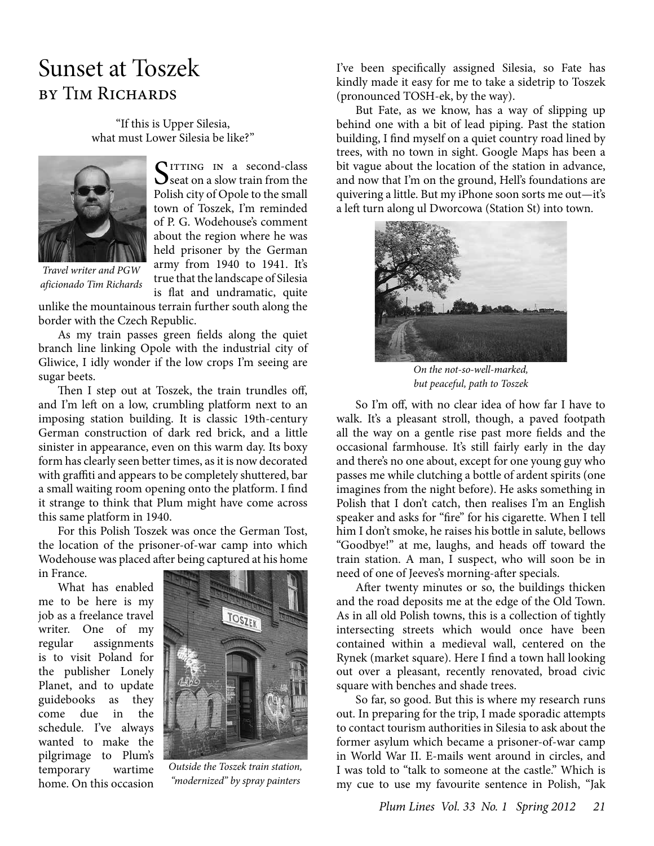### Sunset at Toszek by Tim Richards

"If this is Upper Silesia, what must Lower Silesia be like?"



 $S<sub>seat</sub>$  on a slow train from the Polish city of Opole to the small town of Toszek, I'm reminded of P. G. Wodehouse's comment about the region where he was held prisoner by the German army from 1940 to 1941. It's true that the landscape of Silesia

*Travel writer and PGW aficionado Tim Richards*

is flat and undramatic, quite unlike the mountainous terrain further south along the border with the Czech Republic.

As my train passes green fields along the quiet branch line linking Opole with the industrial city of Gliwice, I idly wonder if the low crops I'm seeing are sugar beets.

Then I step out at Toszek, the train trundles off, and I'm left on a low, crumbling platform next to an imposing station building. It is classic 19th-century German construction of dark red brick, and a little sinister in appearance, even on this warm day. Its boxy form has clearly seen better times, as it is now decorated with graffiti and appears to be completely shuttered, bar a small waiting room opening onto the platform. I find it strange to think that Plum might have come across this same platform in 1940.

For this Polish Toszek was once the German Tost, the location of the prisoner-of-war camp into which Wodehouse was placed after being captured at his home in France.

What has enabled me to be here is my job as a freelance travel writer. One of my regular assignments is to visit Poland for the publisher Lonely Planet, and to update guidebooks as they come due in the schedule. I've always wanted to make the pilgrimage to Plum's temporary wartime home. On this occasion



*Outside the Toszek train station, "modernized" by spray painters*

I've been specifically assigned Silesia, so Fate has kindly made it easy for me to take a sidetrip to Toszek (pronounced TOSH-ek, by the way).

But Fate, as we know, has a way of slipping up behind one with a bit of lead piping. Past the station building, I find myself on a quiet country road lined by trees, with no town in sight. Google Maps has been a bit vague about the location of the station in advance, and now that I'm on the ground, Hell's foundations are quivering a little. But my iPhone soon sorts me out—it's a left turn along ul Dworcowa (Station St) into town.



*On the not-so-well-marked, but peaceful, path to Toszek*

So I'm off, with no clear idea of how far I have to walk. It's a pleasant stroll, though, a paved footpath all the way on a gentle rise past more fields and the occasional farmhouse. It's still fairly early in the day and there's no one about, except for one young guy who passes me while clutching a bottle of ardent spirits (one imagines from the night before). He asks something in Polish that I don't catch, then realises I'm an English speaker and asks for "fire" for his cigarette. When I tell him I don't smoke, he raises his bottle in salute, bellows "Goodbye!" at me, laughs, and heads off toward the train station. A man, I suspect, who will soon be in need of one of Jeeves's morning-after specials.

After twenty minutes or so, the buildings thicken and the road deposits me at the edge of the Old Town. As in all old Polish towns, this is a collection of tightly intersecting streets which would once have been contained within a medieval wall, centered on the Rynek (market square). Here I find a town hall looking out over a pleasant, recently renovated, broad civic square with benches and shade trees.

So far, so good. But this is where my research runs out. In preparing for the trip, I made sporadic attempts to contact tourism authorities in Silesia to ask about the former asylum which became a prisoner-of-war camp in World War II. E-mails went around in circles, and I was told to "talk to someone at the castle." Which is my cue to use my favourite sentence in Polish, "Jak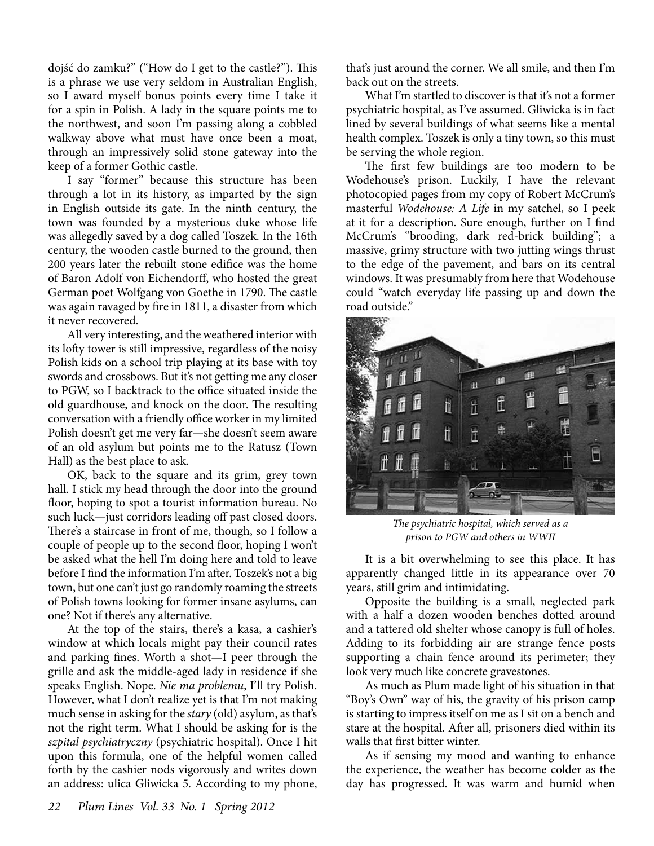dojść do zamku?" ("How do I get to the castle?"). This is a phrase we use very seldom in Australian English, so I award myself bonus points every time I take it for a spin in Polish. A lady in the square points me to the northwest, and soon I'm passing along a cobbled walkway above what must have once been a moat, through an impressively solid stone gateway into the keep of a former Gothic castle.

I say "former" because this structure has been through a lot in its history, as imparted by the sign in English outside its gate. In the ninth century, the town was founded by a mysterious duke whose life was allegedly saved by a dog called Toszek. In the 16th century, the wooden castle burned to the ground, then 200 years later the rebuilt stone edifice was the home of Baron Adolf von Eichendorff, who hosted the great German poet Wolfgang von Goethe in 1790. The castle was again ravaged by fire in 1811, a disaster from which it never recovered.

All very interesting, and the weathered interior with its lofty tower is still impressive, regardless of the noisy Polish kids on a school trip playing at its base with toy swords and crossbows. But it's not getting me any closer to PGW, so I backtrack to the office situated inside the old guardhouse, and knock on the door. The resulting conversation with a friendly office worker in my limited Polish doesn't get me very far—she doesn't seem aware of an old asylum but points me to the Ratusz (Town Hall) as the best place to ask.

OK, back to the square and its grim, grey town hall. I stick my head through the door into the ground floor, hoping to spot a tourist information bureau. No such luck—just corridors leading off past closed doors. There's a staircase in front of me, though, so I follow a couple of people up to the second floor, hoping I won't be asked what the hell I'm doing here and told to leave before I find the information I'm after. Toszek's not a big town, but one can't just go randomly roaming the streets of Polish towns looking for former insane asylums, can one? Not if there's any alternative.

At the top of the stairs, there's a kasa, a cashier's window at which locals might pay their council rates and parking fines. Worth a shot—I peer through the grille and ask the middle-aged lady in residence if she speaks English. Nope. *Nie ma problemu*, I'll try Polish. However, what I don't realize yet is that I'm not making much sense in asking for the *stary* (old) asylum, as that's not the right term. What I should be asking for is the *szpital psychiatryczny* (psychiatric hospital). Once I hit upon this formula, one of the helpful women called forth by the cashier nods vigorously and writes down an address: ulica Gliwicka 5. According to my phone,

that's just around the corner. We all smile, and then I'm back out on the streets.

What I'm startled to discover is that it's not a former psychiatric hospital, as I've assumed. Gliwicka is in fact lined by several buildings of what seems like a mental health complex. Toszek is only a tiny town, so this must be serving the whole region.

The first few buildings are too modern to be Wodehouse's prison. Luckily, I have the relevant photocopied pages from my copy of Robert McCrum's masterful *Wodehouse: A Life* in my satchel, so I peek at it for a description. Sure enough, further on I find McCrum's "brooding, dark red-brick building"; a massive, grimy structure with two jutting wings thrust to the edge of the pavement, and bars on its central windows. It was presumably from here that Wodehouse could "watch everyday life passing up and down the road outside."



*The psychiatric hospital, which served as a prison to PGW and others in WWII*

It is a bit overwhelming to see this place. It has apparently changed little in its appearance over 70 years, still grim and intimidating.

Opposite the building is a small, neglected park with a half a dozen wooden benches dotted around and a tattered old shelter whose canopy is full of holes. Adding to its forbidding air are strange fence posts supporting a chain fence around its perimeter; they look very much like concrete gravestones.

As much as Plum made light of his situation in that "Boy's Own" way of his, the gravity of his prison camp is starting to impress itself on me as I sit on a bench and stare at the hospital. After all, prisoners died within its walls that first bitter winter.

As if sensing my mood and wanting to enhance the experience, the weather has become colder as the day has progressed. It was warm and humid when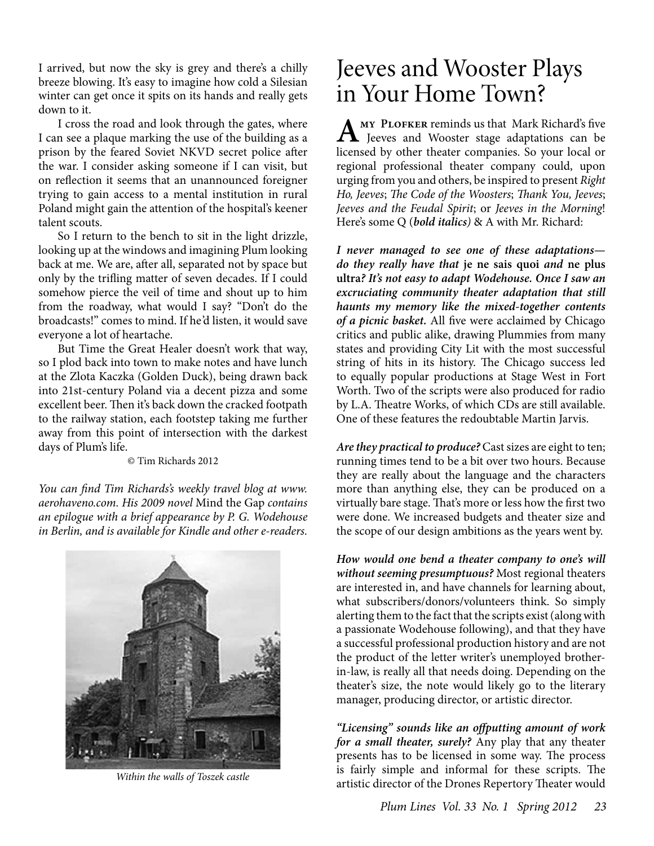I arrived, but now the sky is grey and there's a chilly breeze blowing. It's easy to imagine how cold a Silesian winter can get once it spits on its hands and really gets down to it.

I cross the road and look through the gates, where I can see a plaque marking the use of the building as a prison by the feared Soviet NKVD secret police after the war. I consider asking someone if I can visit, but on reflection it seems that an unannounced foreigner trying to gain access to a mental institution in rural Poland might gain the attention of the hospital's keener talent scouts.

So I return to the bench to sit in the light drizzle, looking up at the windows and imagining Plum looking back at me. We are, after all, separated not by space but only by the trifling matter of seven decades. If I could somehow pierce the veil of time and shout up to him from the roadway, what would I say? "Don't do the broadcasts!" comes to mind. If he'd listen, it would save everyone a lot of heartache.

But Time the Great Healer doesn't work that way, so I plod back into town to make notes and have lunch at the Zlota Kaczka (Golden Duck), being drawn back into 21st-century Poland via a decent pizza and some excellent beer. Then it's back down the cracked footpath to the railway station, each footstep taking me further away from this point of intersection with the darkest days of Plum's life.

© Tim Richards 2012

*You can find Tim Richards's weekly travel blog at www. aerohaveno.com. His 2009 novel* Mind the Gap *contains an epilogue with a brief appearance by P. G. Wodehouse in Berlin, and is available for Kindle and other e-readers.*



*Within the walls of Toszek castle*

# Jeeves and Wooster Plays in Your Home Town?

**AMY PLOFKER reminds us that Mark Richard's five**<br>Jeeves and Wooster stage adaptations can be licensed by other theater companies. So your local or regional professional theater company could, upon urging from you and others, be inspired to present *Right Ho, Jeeves*; *The Code of the Woosters*; *Thank You, Jeeves*; *Jeeves and the Feudal Spirit*; or *Jeeves in the Morning*! Here's some Q (*bold italics)* & A with Mr. Richard:

*I never managed to see one of these adaptations do they really have that* **je ne sais quoi** *and* **ne plus ultra***? It's not easy to adapt Wodehouse. Once I saw an excruciating community theater adaptation that still haunts my memory like the mixed-together contents of a picnic basket.* All five were acclaimed by Chicago critics and public alike, drawing Plummies from many states and providing City Lit with the most successful string of hits in its history. The Chicago success led to equally popular productions at Stage West in Fort Worth. Two of the scripts were also produced for radio by L.A. Theatre Works, of which CDs are still available. One of these features the redoubtable Martin Jarvis.

*Are they practical to produce?* Cast sizes are eight to ten; running times tend to be a bit over two hours. Because they are really about the language and the characters more than anything else, they can be produced on a virtually bare stage. That's more or less how the first two were done. We increased budgets and theater size and the scope of our design ambitions as the years went by.

*How would one bend a theater company to one's will without seeming presumptuous?* Most regional theaters are interested in, and have channels for learning about, what subscribers/donors/volunteers think. So simply alerting them to the fact that the scripts exist (along with a passionate Wodehouse following), and that they have a successful professional production history and are not the product of the letter writer's unemployed brotherin-law, is really all that needs doing. Depending on the theater's size, the note would likely go to the literary manager, producing director, or artistic director.

*"Licensing" sounds like an offputting amount of work for a small theater, surely?* Any play that any theater presents has to be licensed in some way. The process is fairly simple and informal for these scripts. The artistic director of the Drones Repertory Theater would